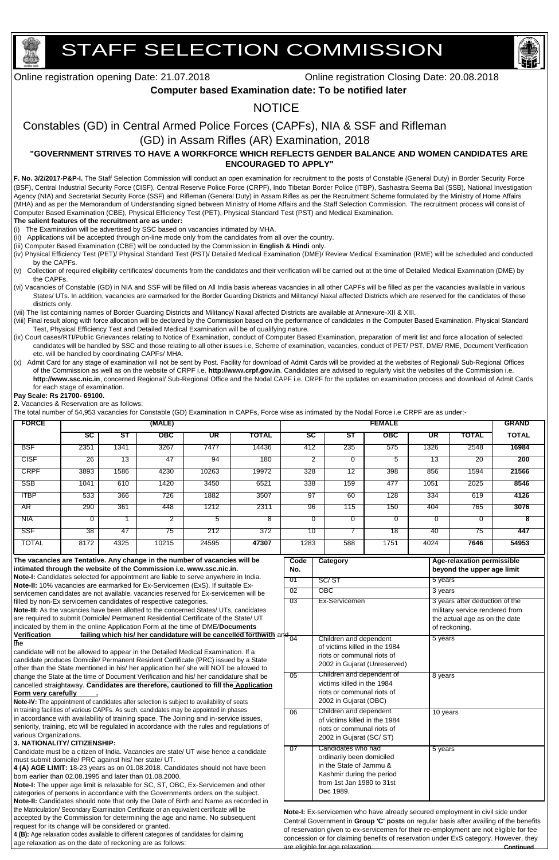# STAFF SELECTION COMMISSION



Online registration opening Date: 21.07.2018 Online registration Closing Date: 20.08.2018

# **Computer based Examination date: To be notified later**

# **NOTICE**

# Constables (GD) in Central Armed Police Forces (CAPFs), NIA & SSF and Rifleman

# (GD) in Assam Rifles (AR) Examination, 2018

# **"GOVERNMENT STRIVES TO HAVE A WORKFORCE WHICH REFLECTS GENDER BALANCE AND WOMEN CANDIDATES ARE ENCOURAGED TO APPLY"**

**F. No. 3/2/2017-P&P-I.** The Staff Selection Commission will conduct an open examination for recruitment to the posts of Constable (General Duty) in Border Security Force (BSF), Central Industrial Security Force (CISF), Central Reserve Police Force (CRPF), Indo Tibetan Border Police (ITBP), Sashastra Seema Bal (SSB), National Investigation Agency (NIA) and Secretariat Security Force (SSF) and Rifleman (General Duty) in Assam Rifles as per the Recruitment Scheme formulated by the Ministry of Home Affairs (MHA) and as per the Memorandum of Understanding signed between Ministry of Home Affairs and the Staff Selection Commission. The recruitment process will consist of Computer Based Examination (CBE), Physical Efficiency Test (PET), Physical Standard Test (PST) and Medical Examination.

## **The salient features of the recruitment are as under:**

(i) The Examination will be advertised by SSC based on vacancies intimated by MHA.

(ii) Applications will be accepted through on-line mode only from the candidates from all over the country.

- (iii) Computer Based Examination (CBE) will be conducted by the Commission in **English & Hindi** only.
- (iv) Physical Efficiency Test (PET)/ Physical Standard Test (PST)/ Detailed Medical Examination (DME)/ Review Medical Examination (RME) will be scheduled and conducted by the CAPFs.
- (v) Collection of required eligibility certificates/ documents from the candidates and their verification will be carried out at the time of Detailed Medical Examination (DME) by the CAPFs.
- (vi) Vacancies of Constable (GD) in NIA and SSF will be filled on All India basis whereas vacancies in all other CAPFs will be filled as per the vacancies available in various States/ UTs. In addition, vacancies are earmarked for the Border Guarding Districts and Militancy/ Naxal affected Districts which are reserved for the candidates of these districts only.
- (vii) The list containing names of Border Guarding Districts and Militancy/ Naxal affected Districts are available at Annexure-XII & XIII.
- (viii) Final result along with force allocation will be declared by the Commission based on the performance of candidates in the Computer Based Examination. Physical Standard Test, Physical Efficiency Test and Detailed Medical Examination will be of qualifying nature.
- (ix) Court cases/RTI/Public Grievances relating to Notice of Examination, conduct of Computer Based Examination, preparation of merit list and force allocation of selected candidates will be handled by SSC and those relating to all other issues i.e, Scheme of examination, vacancies, conduct of PET/ PST, DME/ RME, Document Verification etc. will be handled by coordinating CAPFs/ MHA.
- (x) Admit Card for any stage of examination will not be sent by Post. Facility for download of Admit Cards will be provided at the websites of Regional/ Sub-Regional Offices of the Commission as well as on the website of CRPF i.e. **http://www.crpf.gov.in**. Candidates are advised to regularly visit the websites of the Commission i.e. **http://www.ssc.nic.in**, concerned Regional/ Sub-Regional Office and the Nodal CAPF i.e. CRPF for the updates on examination process and download of Admit Cards for each stage of examination.

**Pay Scale: Rs 21700- 69100.**

**2.** Vacancies & Reservation are as follows:

The total number of 54,953 vacancies for Constable (GD) Examination in CAPFs, Force wise as intimated by the Nodal Force i.e CRPF are as under:-

indicated by them in the online Application Form at the time of DME/**Documents Verification failing which his/ her candidature will be cancelled forthwith** and the

candidate will not be allowed to appear in the Detailed Medical Examination. If a candidate produces Domicile/ Permanent Resident Certificate (PRC) issued by a State other than the State mentioned in his/ her application he/ she will NOT be allowed to change the State at the time of Document Verification and his/ her candidature shall be

| <b>FORCE</b>                                                                                                                                                           |                                                                                                                                                                                                                                                   |                 | (MALE) |                                                                                    |       |             |                           |                 | <b>FEMALE</b> |                 |                                                                 | <b>GRAND</b> |
|------------------------------------------------------------------------------------------------------------------------------------------------------------------------|---------------------------------------------------------------------------------------------------------------------------------------------------------------------------------------------------------------------------------------------------|-----------------|--------|------------------------------------------------------------------------------------|-------|-------------|---------------------------|-----------------|---------------|-----------------|-----------------------------------------------------------------|--------------|
|                                                                                                                                                                        | $\overline{\text{sc}}$                                                                                                                                                                                                                            | ST              | OBC    | <b>UR</b>                                                                          | TOTAL | SC          |                           | SТ              | OBC           | UR              | <b>TOTAL</b>                                                    | <b>TOTAL</b> |
| <b>BSF</b>                                                                                                                                                             | 2351                                                                                                                                                                                                                                              | 1341            | 3267   | 7477                                                                               | 14436 | 412         | 235                       |                 | 575           | 1326            | 2548                                                            | 16984        |
| <b>CISF</b>                                                                                                                                                            | $\overline{26}$                                                                                                                                                                                                                                   | $\overline{13}$ | 47     | 94                                                                                 | 180   |             | $\overline{2}$            | $\Omega$        | 5             | $\overline{13}$ | $\overline{20}$                                                 | 200          |
| <b>CRPF</b>                                                                                                                                                            | 3893                                                                                                                                                                                                                                              | 1586            | 4230   | 10263                                                                              | 19972 | 328         |                           | $\overline{12}$ | 398           | 856             | 1594                                                            | 21566        |
| SSB                                                                                                                                                                    | 1041                                                                                                                                                                                                                                              | 610             | 1420   | 3450                                                                               | 6521  | 338         | 159                       |                 | 477           | 1051            | 2025                                                            | 8546         |
| <b>ITBP</b>                                                                                                                                                            | 533                                                                                                                                                                                                                                               | 366             | 726    | 1882                                                                               | 3507  | 97          |                           | 60              | 128           | 334             | 619                                                             | 4126         |
| AR <sup>-</sup>                                                                                                                                                        | 290                                                                                                                                                                                                                                               | 361             | 448    | 1212                                                                               | 2311  | 96          | 115                       |                 | 150           | 404             | 765                                                             | 3076         |
| <b>NIA</b>                                                                                                                                                             | 0                                                                                                                                                                                                                                                 |                 | 2      | 5                                                                                  | 8     |             | 0                         | 0               | 0             | $\Omega$        | 0                                                               | 8            |
| SSF                                                                                                                                                                    | 38                                                                                                                                                                                                                                                | -47             | 75     | 212                                                                                | 372   | 10          |                           |                 | 18            | 40              | 75                                                              | 447          |
| <b>TOTAL</b>                                                                                                                                                           | 8172                                                                                                                                                                                                                                              | 4325            | 10215  | 24595                                                                              | 47307 | 1283        | 588                       |                 | 1751          | 4024            | 7646                                                            | 54953        |
| The vacancies are Tentative. Any change in the number of vacancies will be<br>intimated through the website of the Commission i.e. www.ssc.nic.in.                     |                                                                                                                                                                                                                                                   |                 |        |                                                                                    |       | Code<br>No. | <b>Category</b>           |                 |               |                 | Age-relaxation permissible<br>beyond the upper age limit        |              |
|                                                                                                                                                                        |                                                                                                                                                                                                                                                   |                 |        | Note-I: Candidates selected for appointment are liable to serve anywhere in India. |       | -01         | SC/ST                     | 5 years         |               |                 |                                                                 |              |
| Note-II: 10% vacancies are earmarked for Ex-Servicemen (ExS). If suitable Ex-<br>servicemen candidates are not available, vacancies reserved for Ex-servicemen will be |                                                                                                                                                                                                                                                   |                 |        |                                                                                    |       | -02         | $\overline{\mathrm{OBC}}$ | 3 years         |               |                 |                                                                 |              |
|                                                                                                                                                                        |                                                                                                                                                                                                                                                   |                 |        |                                                                                    |       | -03         | Ex-Servicemen             |                 |               |                 | 3 years after deduction of the                                  |              |
|                                                                                                                                                                        | filled by non-Ex servicemen candidates of respective categories.<br>Note-III: As the vacancies have been allotted to the concerned States/ UTs, candidates<br>are required to submit Domicile/ Permanent Residential Certificate of the State/ UT |                 |        |                                                                                    |       |             |                           |                 |               |                 | military service rendered from<br>the actual age as on the date |              |

#### cancelled straightaway. **Candidates are therefore, cautioned to fill the Application Form very carefully .**

**Note-IV:** The appointment of candidates after selection is subject to availability of seats in training facilities of various CAPFs. As such, candidates may be appointed in phases in accordance with availability of training space. The Joining and in-service issues, seniority, training, etc will be regulated in accordance with the rules and regulations of various Organizations.

#### **3. NATIONALITY/ CITIZENSHIP:**

Candidate must be a citizen of India. Vacancies are state/ UT wise hence a candidate must submit domicile/ PRC against his/ her state/ UT.

**4 (A) AGE LIMIT:** 18-23 years as on 01.08.2018. Candidates should not have been born earlier than 02.08.1995 and later than 01.08.2000.

**Note-I:** The upper age limit is relaxable for SC, ST, OBC, Ex-Servicemen and other categories of persons in accordance with the Governments orders on the subject. **Note-II:** Candidates should note that only the Date of Birth and Name as recorded in the Matriculation/ Secondary Examination Certificate or an equivalent certificate will be accepted by the Commission for determining the age and name. No subsequent request for its change will be considered or granted.

| 01    | SC/ST                                                                                                                                             | 5 years                                                                                                            |
|-------|---------------------------------------------------------------------------------------------------------------------------------------------------|--------------------------------------------------------------------------------------------------------------------|
| 02    | $\overline{\mathrm{OBC}}$                                                                                                                         | 3 years                                                                                                            |
| 03    | Ex-Servicemen                                                                                                                                     | 3 years after deduction of the<br>military service rendered from<br>the actual age as on the date<br>of reckoning. |
| la 04 | Children and dependent<br>of victims killed in the 1984<br>riots or communal riots of<br>2002 in Gujarat (Unreserved)                             | 5 years                                                                                                            |
| 05    | Children and dependent of<br>victims killed in the 1984<br>riots or communal riots of<br>2002 in Gujarat (OBC)                                    | 8 years                                                                                                            |
| 06    | Children and dependent<br>of victims killed in the 1984<br>riots or communal riots of<br>2002 in Gujarat (SC/ST)                                  | 10 years                                                                                                           |
| 07    | Candidates who had<br>ordinarily been domiciled<br>in the State of Jammu &<br>Kashmir during the period<br>from 1st Jan 1980 to 31st<br>Dec 1989. | 5 years                                                                                                            |

**4 (B):** Age relaxation codes available to different categories of candidates for claiming age relaxation as on the date of reckoning are as follows:

**Note-I:** Ex-servicemen who have already secured employment in civil side under Central Government in **Group 'C' posts** on regular basis after availing of the benefits of reservation given to ex-servicemen for their re-employment are not eligible for fee concession or for claiming benefits of reservation under ExS category. However, they are eligible for age relaxation. **Continued**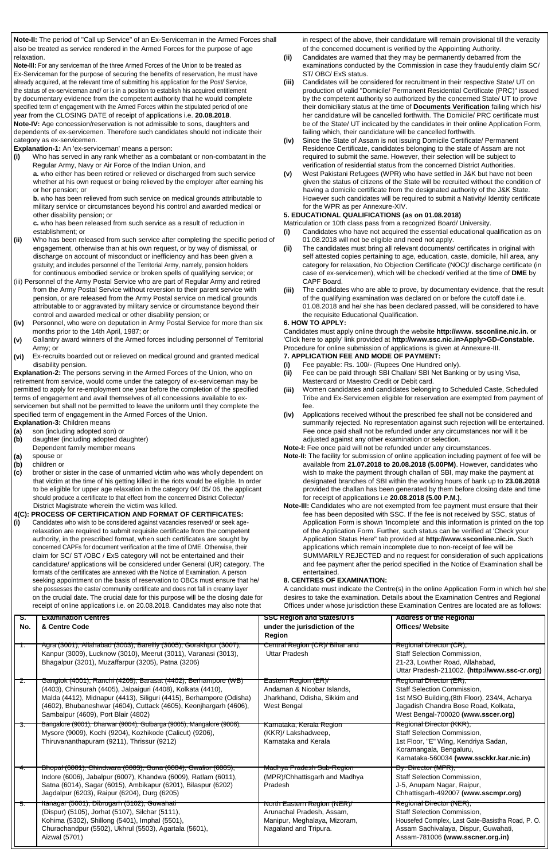**<sup>6</sup> www.employmentnews.gov.in SSC Employment News 21 - 27 July 2018**

**Note-II:** The period of "Call up Service" of an Ex-Serviceman in the Armed Forces shall also be treated as service rendered in the Armed Forces for the purpose of age relaxation.

in respect of the above, their candidature will remain provisional till the veracity of the concerned document is verified by the Appointing Authority.

**Note-III:** For any serviceman of the three Armed Forces of the Union to be treated as Ex-Serviceman for the purpose of securing the benefits of reservation, he must have already acquired, at the relevant time of submitting his application for the Post/ Service, the status of ex-serviceman and/ or is in a position to establish his acquired entitlement by documentary evidence from the competent authority that he would complete specified term of engagement with the Armed Forces within the stipulated period of one year from the CLOSING DATE of receipt of applications i.e. **20.08.2018**. **Note-IV:** Age concession/reservation is not admissible to sons, daughters and dependents of ex-servicemen. Therefore such candidates should not indicate their category as ex-servicemen.

**Explanation-1:** An 'ex-serviceman' means a person:

**a.** who either has been retired or relieved or discharged from such service **(v)** whether at his own request or being relieved by the employer after earning his or her pension; or

**(i)** Who has served in any rank whether as a combatant or non-combatant in the Regular Army, Navy or Air Force of the Indian Union, and

- **(ii)** Candidates are warned that they may be permanently debarred from the examinations conducted by the Commission in case they fraudulently claim SC/ ST/ OBC/ ExS status.
- **(iii)** Candidates will be considered for recruitment in their respective State/ UT on production of valid "Domicile/ Permanent Residential Certificate (PRC)" issued by the competent authority so authorized by the concerned State/ UT to prove their domiciliary status at the time of **Documents Verification** failing which his/ her candidature will be cancelled forthwith. The Domicile/ PRC certificate must be of the State/ UT indicated by the candidates in their online Application Form, failing which, their candidature will be cancelled forthwith.
- **(iv)** Since the State of Assam is not issuing Domicile Certificate/ Permanent Residence Certificate, candidates belonging to the state of Assam are not required to submit the same. However, their selection will be subject to verification of residential status from the concerned District Authorities.<br>West Pakistani Refugees (WPR) who have settled in J&K but have not been
- given the status of citizens of the State will be recruited without the condition of having a domicile certificate from the designated authority of the J&K State. However such candidates will be required to submit a Nativity/ Identity certificate for the WPR as per Annexure-XIV.

- establishment; or **the contract of the candidates who have not acquired the essential educational qualification as on** 
	- **(ii)** The candidates must bring all relevant documents/ certificates in original with self attested copies pertaining to age, education, caste, domicile, hill area, any category for relaxation, No Objection Certificate (NOC)/ discharge certificate (in case of ex-servicemen), which will be checked/ verified at the time of **DME** by CAPF Board.
	- **(iii)** The candidates who are able to prove, by documentary evidence, that the result of the qualifying examination was declared on or before the cutoff date i.e. 01.08.2018 and he/ she has been declared passed, will be considered to have the requisite Educational Qualification.
- (ii) Who has been released from such service after completing the specific period of 01.08.2018 will not be eligible and need not apply. engagement, otherwise than at his own request, or by way of dismissal, or discharge on account of misconduct or inefficiency and has been given a gratuity; and includes personnel of the Territorial Army, namely, pension holders for continuous embodied service or broken spells of qualifying service; or
- (iii) Personnel of the Army Postal Service who are part of Regular Army and retired from the Army Postal Service without reversion to their parent service with pension, or are released from the Army Postal service on medical grounds attributable to or aggravated by military service or circumstance beyond their control and awarded medical or other disability pension; or
- **(iv)** Personnel, who were on deputation in Army Postal Service for more than six months prior to the 14th April, 1987; or
- **(v)** Gallantry award winners of the Armed forces including personnel of Territorial Army; or
- **(vi)** Ex-recruits boarded out or relieved on medical ground and granted medical disability pension.

**b.** who has been relieved from such service on medical grounds attributable to military service or circumstances beyond his control and awarded medical or other disability pension; or

**c.** who has been released from such service as a result of reduction in

#### **5. EDUCATIONAL QUALIFICATIONS (as on 01.08.2018)**

Matriculation or 10th class pass from a recognized Board/ University.

**(i)** Candidates who wish to be considered against vacancies reserved/ or seek agerelaxation are required to submit requisite certificate from the competent authority, in the prescribed format, when such certificates are sought by concerned CAPFs for document verification at the time of DME. Otherwise, their claim for SC/ ST /OBC / ExS category will not be entertained and their candidature/ applications will be considered under General (UR) category. The formats of the certificates are annexed with the Notice of Examination. A person seeking appointment on the basis of reservation to OBCs must ensure that he/ she possesses the caste/ community certificate and does not fall in creamy layer on the crucial date. The crucial date for this purpose will be the closing date for receipt of online applications  $i \in \Omega$  08.2018. Candidates may also note that

#### **6. HOW TO APPLY:**

Candidates must apply online through the website **http://www. ssconline.nic.in.** or 'Click here to apply' link provided at **http://www.ssc.nic.in>Apply>GD-Constable**. Procedure for online submission of applications is given at Annexure-III.

**Explanation-2:** The persons serving in the Armed Forces of the Union, who on retirement from service, would come under the category of ex-serviceman may be permitted to apply for re-employment one year before the completion of the specified terms of engagement and avail themselves of all concessions available to exservicemen but shall not be permitted to leave the uniform until they complete the specified term of engagement in the Armed Forces of the Union.

**Explanation-3:** Children means

- **7. APPLICATION FEE AND MODE OF PAYMENT:**
- **(i)** Fee payable: Rs. 100/- (Rupees One Hundred only).
- **(ii)** Fee can be paid through SBI Challan/ SBI Net Banking or by using Visa, Mastercard or Maestro Credit or Debit card.
- **(iii)** Women candidates and candidates belonging to Scheduled Caste, Scheduled Tribe and Ex-Servicemen eligible for reservation are exempted from payment of fee.
- **(iv)** Applications received without the prescribed fee shall not be considered and summarily rejected. No representation against such rejection will be entertained. Fee once paid shall not be refunded under any circumstances nor will it be adjusted against any other examination or selection.

**Note-I:** Fee once paid will not be refunded under any circumstances.

- **(a)** son (including adopted son) or
- **(b)** daughter (including adopted daughter) Dependent family member means
- **(a)** spouse or
- **(b)** children or
- **(c)** brother or sister in the case of unmarried victim who was wholly dependent on that victim at the time of his getting killed in the riots would be eligible. In order to be eligible for upper age relaxation in the category 04/ 05/ 06, the applicant should produce a certificate to that effect from the concerned District Collector/ District Magistrate wherein the victim was killed.

### **4(C): PROCESS OF CERTIFICATION AND FORMAT OF CERTIFICATES:**

- **Note-II:** The facility for submission of online application including payment of fee will be available from **21.07.2018 to 20.08.2018 (5.00PM)**. However, candidates who wish to make the payment through challan of SBI, may make the payment at designated branches of SBI within the working hours of bank up to **23.08.2018** provided the challan has been generated by them before closing date and time for receipt of applications i.e **20.08.2018 (5.00 P.M.)**.
- **Note-III:** Candidates who are not exempted from fee payment must ensure that their fee has been deposited with SSC. If the fee is not received by SSC, status of Application Form is shown 'Incomplete' and this information is printed on the top of the Application Form. Further, such status can be verified at 'Check your Application Status Here" tab provided at **http://www.ssconline.nic.in.** Such applications which remain incomplete due to non-receipt of fee will be SUMMARILY REJECTED and no request for consideration of such applications and fee payment after the period specified in the Notice of Examination shall be entertained.

#### **8. CENTRES OF EXAMINATION:**

A candidate must indicate the Centre(s) in the online Application Form in which he/ she desires to take the examination. Details about the Examination Centres and Regional Offices under whose jurisdiction these Examination Centres are located are as follows:

| s.<br>No. | <b>Examination Centres</b><br>& Centre Code                                                                                                                                                                                                                                                                       | <b>SSC Region and States/UTs</b><br>under the jurisdiction of the<br><b>Region</b>                                | <b>Address of the Regional</b><br><b>Offices/ Website</b>                                                                                                                                    |
|-----------|-------------------------------------------------------------------------------------------------------------------------------------------------------------------------------------------------------------------------------------------------------------------------------------------------------------------|-------------------------------------------------------------------------------------------------------------------|----------------------------------------------------------------------------------------------------------------------------------------------------------------------------------------------|
|           | Agra (3001), Allahabad (3003), Bareilly (3005), Gorakhpur (3007),<br>Kanpur (3009), Lucknow (3010), Meerut (3011), Varanasi (3013),<br>Bhagalpur (3201), Muzaffarpur (3205), Patna (3206)                                                                                                                         | Central Region (CR)/ Bihar and<br><b>Uttar Pradesh</b>                                                            | Regional Director (CR),<br><b>Staff Selection Commission,</b><br>21-23, Lowther Road, Allahabad,<br>Uttar Pradesh-211002. (http://www.ssc-cr.org)                                            |
| z.        | Gangtok (4001), Ranchi (4205), Barasat (4402), Berhampore (WB)<br>(4403), Chinsurah (4405), Jalpaiguri (4408), Kolkata (4410),<br>Malda (4412), Midnapur (4413), Siliguri (4415), Berhampore (Odisha)<br>(4602), Bhubaneshwar (4604), Cuttack (4605), Keonjhargarh (4606),<br>Sambalpur (4609), Port Blair (4802) | Eastern Region (ER)/<br>Andaman & Nicobar Islands,<br>Jharkhand, Odisha, Sikkim and<br>West Bengal                | Regional Director (ER),<br><b>Staff Selection Commission,</b><br>1st MSO Building, (8th Floor), 234/4, Acharya<br>Jagadish Chandra Bose Road, Kolkata,<br>West Bengal-700020 (www.sscer.org) |
| उ.        | Bangalore (9001), Dharwar (9004), Gulbarga (9005), Mangalore (9008),<br>Mysore (9009), Kochi (9204), Kozhikode (Calicut) (9206),<br>Thiruvananthapuram (9211), Thrissur (9212)                                                                                                                                    | Karnataka, Kerala Region<br>(KKR)/ Lakshadweep,<br>Karnataka and Kerala                                           | Regional Director (KKR),<br><b>Staff Selection Commission,</b><br>1st Floor, "E" Wing, Kendriya Sadan,<br>Koramangala, Bengaluru,<br>Karnataka-560034 (www.ssckkr.kar.nic.in)                |
| 4.        | Bhopal (6001), Chindwara (6003), Guna (6004), Gwalior (6005),<br>Indore (6006), Jabalpur (6007), Khandwa (6009), Ratlam (6011),<br>Satna (6014), Sagar (6015), Ambikapur (6201), Bilaspur (6202)<br>Jagdalpur (6203), Raipur (6204), Durg (6205)                                                                  | Madhya Pradesh Sub-Region<br>(MPR)/Chhattisgarh and Madhya<br>Pradesh                                             | Dy. Director (MPR),<br><b>Staff Selection Commission,</b><br>J-5, Anupam Nagar, Raipur,<br>Chhattisgarh-492007 (www.sscmpr.org)                                                              |
| 5.        | Itanagar (5001), Dibrugarh (5102), Guwahati<br>(Dispur) (5105), Jorhat (5107), Silchar (5111),<br>Kohima (5302), Shillong (5401), Imphal (5501),<br>Churachandpur (5502), Ukhrul (5503), Agartala (5601),<br>Aizwal (5701)                                                                                        | North Eastern Region (NER)/<br>Arunachal Pradesh, Assam,<br>Manipur, Meghalaya, Mizoram,<br>Nagaland and Tripura. | Regional Director (NER),<br>Staff Selection Commission,<br>Housefed Complex, Last Gate-Basistha Road, P.O.<br>Assam Sachivalaya, Dispur, Guwahati,<br>Assam-781006 (www.sscner.org.in)       |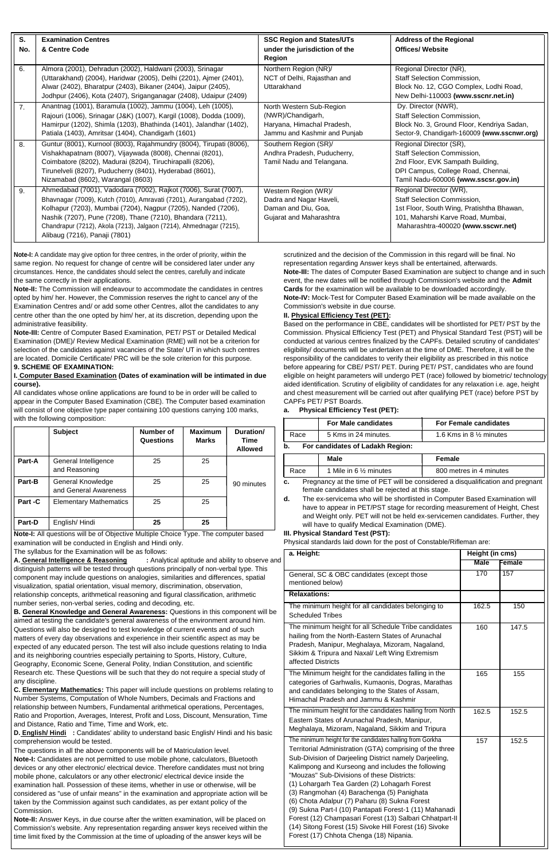|         | <b>Subject</b>                             | Number of<br>Questions | <b>Maximum</b><br><b>Marks</b> | Duration/<br>Time<br><b>Allowed</b> |
|---------|--------------------------------------------|------------------------|--------------------------------|-------------------------------------|
| Part-A  | General Intelligence<br>and Reasoning      | 25                     | 25                             |                                     |
| Part-B  | General Knowledge<br>and General Awareness | 25                     | 25                             | 90 minutes                          |
| Part -C | <b>Elementary Mathematics</b>              | 25                     | 25                             |                                     |
| Part-D  | English/Hindi                              | 25                     | 25                             |                                     |

| S.  | <b>Examination Centres</b>                                                                                                                                                                                                                                                                                                                                                    | <b>SSC Region and States/UTs</b>                                                                            | <b>Address of the Regional</b>                                                                                                                                                 |
|-----|-------------------------------------------------------------------------------------------------------------------------------------------------------------------------------------------------------------------------------------------------------------------------------------------------------------------------------------------------------------------------------|-------------------------------------------------------------------------------------------------------------|--------------------------------------------------------------------------------------------------------------------------------------------------------------------------------|
| No. | & Centre Code                                                                                                                                                                                                                                                                                                                                                                 | under the jurisdiction of the<br>Region                                                                     | <b>Offices/ Website</b>                                                                                                                                                        |
| 6.  | Almora (2001), Dehradun (2002), Haldwani (2003), Srinagar<br>(Uttarakhand) (2004), Haridwar (2005), Delhi (2201), Ajmer (2401),<br>Alwar (2402), Bharatpur (2403), Bikaner (2404), Jaipur (2405),<br>Jodhpur (2406), Kota (2407), Sriganganagar (2408), Udaipur (2409)                                                                                                        | Northern Region (NR)/<br>NCT of Delhi, Rajasthan and<br>Uttarakhand                                         | Regional Director (NR),<br><b>Staff Selection Commission,</b><br>Block No. 12, CGO Complex, Lodhi Road,<br>New Delhi-110003 (www.sscnr.net.in)                                 |
| 7.  | Anantnag (1001), Baramula (1002), Jammu (1004), Leh (1005),<br>Rajouri (1006), Srinagar (J&K) (1007), Kargil (1008), Dodda (1009),<br>Hamirpur (1202), Shimla (1203), Bhathinda (1401), Jalandhar (1402),<br>Patiala (1403), Amritsar (1404), Chandigarh (1601)                                                                                                               | North Western Sub-Region<br>(NWR)/Chandigarh,<br>Haryana, Himachal Pradesh,<br>Jammu and Kashmir and Punjab | Dy. Director (NWR),<br><b>Staff Selection Commission,</b><br>Block No. 3, Ground Floor, Kendriya Sadan,<br>Sector-9, Chandigarh-160009 (www.sscnwr.org)                        |
| 8.  | Guntur (8001), Kurnool (8003), Rajahmundry (8004), Tirupati (8006),<br>Vishakhapatnam (8007), Vijaywada (8008), Chennai (8201),<br>Coimbatore (8202), Madurai (8204), Tiruchirapalli (8206),<br>Tirunelveli (8207), Puducherry (8401), Hyderabad (8601),<br>Nizamabad (8602), Warangal (8603)                                                                                 | Southern Region (SR)/<br>Andhra Pradesh, Puducherry,<br>Tamil Nadu and Telangana.                           | Regional Director (SR),<br>Staff Selection Commission,<br>2nd Floor, EVK Sampath Building,<br>DPI Campus, College Road, Chennai,<br>Tamil Nadu-600006 (www.sscsr.gov.in)       |
| 9.  | Ahmedabad (7001), Vadodara (7002), Rajkot (7006), Surat (7007),<br>Bhavnagar (7009), Kutch (7010), Amravati (7201), Aurangabad (7202),<br>Kolhapur (7203), Mumbai (7204), Nagpur (7205), Nanded (7206),<br>Nashik (7207), Pune (7208), Thane (7210), Bhandara (7211),<br>Chandrapur (7212), Akola (7213), Jalgaon (7214), Ahmednagar (7215),<br>Alibaug (7216), Panaji (7801) | Western Region (WR)/<br>Dadra and Nagar Haveli,<br>Daman and Diu, Goa,<br>Gujarat and Maharashtra           | Regional Director (WR),<br>Staff Selection Commission,<br>1st Floor, South Wing, Pratishtha Bhawan,<br>101, Maharshi Karve Road, Mumbai,<br>Maharashtra-400020 (www.sscwr.net) |

**Note-I:** A candidate may give option for three centres, in the order of priority, within the same region. No request for change of centre will be considered later under any circumstances. Hence, the candidates should select the centres, carefully and indicate the same correctly in their applications.

|                                                                                       | <b>For Male candidates</b> | <b>For Female candidates</b>                                                           |  |  |  |  |  |
|---------------------------------------------------------------------------------------|----------------------------|----------------------------------------------------------------------------------------|--|--|--|--|--|
| Race                                                                                  | 5 Kms in 24 minutes.       | 1.6 Kms in 8 $\frac{1}{2}$ minutes                                                     |  |  |  |  |  |
| b.<br>For candidates of Ladakh Region:                                                |                            |                                                                                        |  |  |  |  |  |
|                                                                                       | <b>Male</b>                | Female                                                                                 |  |  |  |  |  |
| Race                                                                                  | 1 Mile in 6 1/2 minutes    | 800 metres in 4 minutes                                                                |  |  |  |  |  |
| Pregnancy at the time of PET will be considered a disqualification and pregnant<br>c. |                            |                                                                                        |  |  |  |  |  |
| female candidates shall be rejected at this stage.                                    |                            |                                                                                        |  |  |  |  |  |
| $\mathbf{H}$                                                                          |                            | The law exploration who will have beguined in Opportunity Depart Frequencies than will |  |  |  |  |  |

**Note-II:** The Commission will endeavour to accommodate the candidates in centres opted by him/ her. However, the Commission reserves the right to cancel any of the Examination Centres and/ or add some other Centres, allot the candidates to any centre other than the one opted by him/ her, at its discretion, depending upon the administrative feasibility.

**Note-III:** Centre of Computer Based Examination, PET/ PST or Detailed Medical Examination (DME)/ Review Medical Examination (RME) will not be a criterion for selection of the candidates against vacancies of the State/ UT in which such centres are located. Domicile Certificate/ PRC will be the sole criterion for this purpose. **9. SCHEME OF EXAMINATION:**

#### **I. Computer Based Examination (Dates of examination will be intimated in due course).**

All candidates whose online applications are found to be in order will be called to appear in the Computer Based Examination (CBE). The Computer based examination will consist of one objective type paper containing 100 questions carrying 100 marks, with the following composition:

scrutinized and the decision of the Commission in this regard will be final. No representation regarding Answer keys shall be entertained, afterwards. **Note-III:** The dates of Computer Based Examination are subject to change and in such event, the new dates will be notified through Commission's website and the **Admit Cards** for the examination will be available to be downloaded accordingly. **Note-IV:** Mock-Test for Computer Based Examination will be made available on the Commission's website in due course.

#### **II. Physical Efficiency Test (PET):**

Based on the performance in CBE, candidates will be shortlisted for PET/ PST by the Commission. Physical Efficiency Test (PET) and Physical Standard Test (PST) will be conducted at various centres finalized by the CAPFs. Detailed scrutiny of candidates' eligibility/ documents will be undertaken at the time of DME. Therefore, it will be the responsibility of the candidates to verify their eligibility as prescribed in this notice before appearing for CBE/ PST/ PET. During PET/ PST, candidates who are found eligible on height parameters will undergo PET (race) followed by biometric/ technology aided identification. Scrutiny of eligibility of candidates for any relaxation i.e. age, height and chest measurement will be carried out after qualifying PET (race) before PST by CAPFs PET/ PST Boards.

### **a. Physical Efficiency Test (PET):**

**d.** The ex-servicema who will be shortlisted in Computer Based Examination will have to appear in PET/PST stage for recording measurement of Height, Chest and Weight only. PET will not be held ex-servicemen candidates. Further, they will have to qualify Medical Examination (DME).

**Note-I:** All questions will be of Objective Multiple Choice Type. The computer based examination will be conducted in English and Hindi only.

#### **III. Physical Standard Test (PST):**

Physical standards laid down for the post of Constable/Rifleman are:

The syllabus for the Examination will be as follows:

**A. General Intelligence & Reasoning :** Analytical aptitude and ability to observe and distinguish patterns will be tested through questions principally of non-verbal type. This component may include questions on analogies, similarities and differences, spatial visualization, spatial orientation, visual memory, discrimination, observation, relationship concepts, arithmetical reasoning and figural classification, arithmetic number series, non-verbal series, coding and decoding, etc.

**B. General Knowledge and General Awareness:** Questions in this component will be aimed at testing the candidate's general awareness of the environment around him. Questions will also be designed to test knowledge of current events and of such matters of every day observations and experience in their scientific aspect as may be expected of any educated person. The test will also include questions relating to India and its neighboring countries especially pertaining to Sports, History, Culture, Geography, Economic Scene, General Polity, Indian Constitution, and scientific Research etc. These Questions will be such that they do not require a special study of any discipline.

**C. Elementary Mathematics:** This paper will include questions on problems relating to Number Systems, Computation of Whole Numbers, Decimals and Fractions and relationship between Numbers, Fundamental arithmetical operations, Percentages, Ratio and Proportion, Averages, Interest, Profit and Loss, Discount, Mensuration, Time and Distance, Ratio and Time, Time and Work, etc.

**D. English/ Hindi :** Candidates' ability to understand basic English/ Hindi and his basic comprehension would be tested.

The questions in all the above components will be of Matriculation level. **Note-I:** Candidates are not permitted to use mobile phone, calculators, Bluetooth devices or any other electronic/ electrical device. Therefore candidates must not bring mobile phone, calculators or any other electronic/ electrical device inside the examination hall. Possession of these items, whether in use or otherwise, will be considered as "use of unfair means" in the examination and appropriate action will be taken by the Commission against such candidates, as per extant policy of the Commission.

| a. Height:                                                                                                                                                                                                                                                                                                                                                                                                                                                                                                                                                                                                                                                  | Height (in cms) |        |  |  |
|-------------------------------------------------------------------------------------------------------------------------------------------------------------------------------------------------------------------------------------------------------------------------------------------------------------------------------------------------------------------------------------------------------------------------------------------------------------------------------------------------------------------------------------------------------------------------------------------------------------------------------------------------------------|-----------------|--------|--|--|
|                                                                                                                                                                                                                                                                                                                                                                                                                                                                                                                                                                                                                                                             | Male            | Female |  |  |
| General, SC & OBC candidates (except those<br>mentioned below)                                                                                                                                                                                                                                                                                                                                                                                                                                                                                                                                                                                              | 170             | 157    |  |  |
| <b>Relaxations:</b>                                                                                                                                                                                                                                                                                                                                                                                                                                                                                                                                                                                                                                         |                 |        |  |  |
| The minimum height for all candidates belonging to<br><b>Scheduled Tribes</b>                                                                                                                                                                                                                                                                                                                                                                                                                                                                                                                                                                               | 162.5           | 150    |  |  |
| The minimum height for all Schedule Tribe candidates<br>hailing from the North-Eastern States of Arunachal<br>Pradesh, Manipur, Meghalaya, Mizoram, Nagaland,<br>Sikkim & Tripura and Naxal/ Left Wing Extremism<br>affected Districts                                                                                                                                                                                                                                                                                                                                                                                                                      | 160             | 147.5  |  |  |
| The Minimum height for the candidates falling in the<br>categories of Garhwalis, Kumaonis, Dogras, Marathas<br>and candidates belonging to the States of Assam,<br>Himachal Pradesh and Jammu & Kashmir                                                                                                                                                                                                                                                                                                                                                                                                                                                     | 165             | 155    |  |  |
| The minimum height for the candidates hailing from North<br>Eastern States of Arunachal Pradesh, Manipur,<br>Meghalaya, Mizoram, Nagaland, Sikkim and Tripura                                                                                                                                                                                                                                                                                                                                                                                                                                                                                               | 162.5           | 152.5  |  |  |
| The minimum height for the candidates hailing from Gorkha<br>Territorial Administration (GTA) comprising of the three<br>Sub-Division of Darjeeling District namely Darjeeling,<br>Kalimpong and Kurseong and includes the following<br>"Mouzas" Sub-Divisions of these Districts:<br>(1) Lohargarh Tea Garden (2) Lohagarh Forest<br>(3) Rangmohan (4) Barachenga (5) Panighata<br>(6) Chota Adalpur (7) Paharu (8) Sukna Forest<br>(9) Sukna Part-I (10) Pantapati Forest-1 (11) Mahanadi<br>Forest (12) Champasari Forest (13) Salbari Chhatpart-II<br>(14) Sitong Forest (15) Sivoke Hill Forest (16) Sivoke<br>Forest (17) Chhota Chenga (18) Nipania. | 157             | 152.5  |  |  |

**Note-II:** Answer Keys, in due course after the written examination, will be placed on Commission's website. Any representation regarding answer keys received within the time limit fixed by the Commission at the time of uploading of the answer keys will be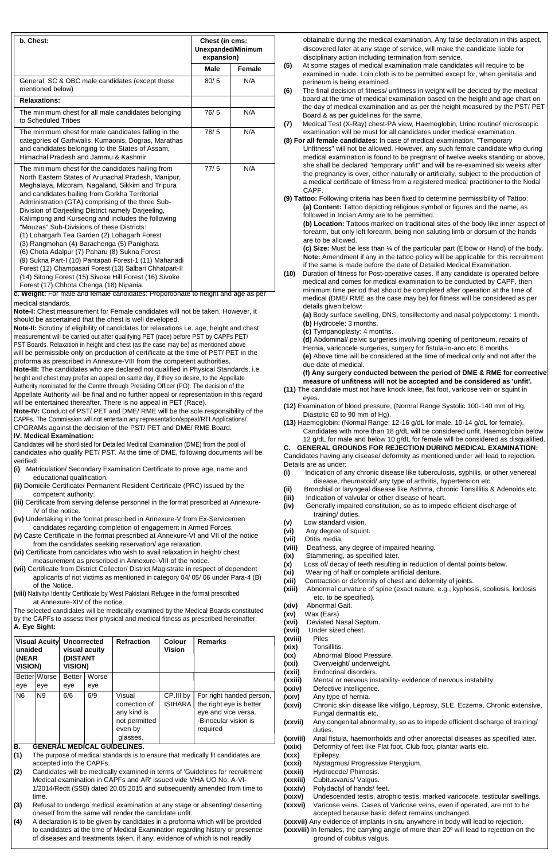| b. Chest:                                                                                                                                                                                                                                                                                                                                                                                                                                                                                                                                                                                                                                                                                                                                                                                                                                                                                  | Chest (in cms:<br><b>Unexpanded/Minimum</b><br>expansion) |               |
|--------------------------------------------------------------------------------------------------------------------------------------------------------------------------------------------------------------------------------------------------------------------------------------------------------------------------------------------------------------------------------------------------------------------------------------------------------------------------------------------------------------------------------------------------------------------------------------------------------------------------------------------------------------------------------------------------------------------------------------------------------------------------------------------------------------------------------------------------------------------------------------------|-----------------------------------------------------------|---------------|
|                                                                                                                                                                                                                                                                                                                                                                                                                                                                                                                                                                                                                                                                                                                                                                                                                                                                                            | <b>Male</b>                                               | <b>Female</b> |
| General, SC & OBC male candidates (except those<br>mentioned below)                                                                                                                                                                                                                                                                                                                                                                                                                                                                                                                                                                                                                                                                                                                                                                                                                        | 80/5                                                      | N/A           |
| <b>Relaxations:</b>                                                                                                                                                                                                                                                                                                                                                                                                                                                                                                                                                                                                                                                                                                                                                                                                                                                                        |                                                           |               |
| The minimum chest for all male candidates belonging<br>to Scheduled Tribes                                                                                                                                                                                                                                                                                                                                                                                                                                                                                                                                                                                                                                                                                                                                                                                                                 | 76/5                                                      | N/A           |
| The minimum chest for male candidates falling in the<br>categories of Garhwalis, Kumaonis, Dogras, Marathas<br>and candidates belonging to the States of Assam,<br>Himachal Pradesh and Jammu & Kashmir                                                                                                                                                                                                                                                                                                                                                                                                                                                                                                                                                                                                                                                                                    | 78/5                                                      | N/A           |
| The minimum chest for the candidates hailing from<br>North Eastern States of Arunachal Pradesh, Manipur,<br>Meghalaya, Mizoram, Nagaland, Sikkim and Tripura<br>and candidates hailing from Gorkha Territorial<br>Administration (GTA) comprising of the three Sub-<br>Division of Darjeeling District namely Darjeeling,<br>Kalimpong and Kurseong and includes the following<br>"Mouzas" Sub-Divisions of these Districts:<br>(1) Lohargarh Tea Garden (2) Lohagarh Forest<br>(3) Rangmohan (4) Barachenga (5) Panighata<br>(6) Chota Adalpur (7) Paharu (8) Sukna Forest<br>(9) Sukna Part-I (10) Pantapati Forest-1 (11) Mahanadi<br>Forest (12) Champasari Forest (13) Salbari Chhatpart-II<br>(14) Sitong Forest (15) Sivoke Hill Forest (16) Sivoke<br>Forest (17) Chhota Chenga (18) Nipania.<br>c. Weight: For male and female candidates: Proportionate to height and age as per | 77/5                                                      | N/A           |

| unaided<br>(NEAR<br><b>VISION)</b> |                                   | Visual Acuity Uncorrected<br>visual acuity<br>(DISTANT<br><b>VISION)</b> |              | <b>Refraction</b>                                                                                   | Colour<br><b>Vision</b> | <b>Remarks</b>                                                                                                 |
|------------------------------------|-----------------------------------|--------------------------------------------------------------------------|--------------|-----------------------------------------------------------------------------------------------------|-------------------------|----------------------------------------------------------------------------------------------------------------|
| eye                                | <b>Better Worse</b><br>eye        | <b>Better</b><br>eye                                                     | Worse<br>eye |                                                                                                     |                         |                                                                                                                |
| N <sub>6</sub><br>Б                | N <sub>9</sub><br><b>CENED AI</b> | 6/6<br><b>MEDICAL</b>                                                    | 6/9          | Visual<br>correction of<br>any kind is<br>not permitted<br>even by<br>glasses.<br><b>CHINELINES</b> | CP.III by<br>ISIHARA    | For right handed person,<br>the right eye is better<br>eye and vice versa.<br>-Binocular vision is<br>required |

**<sup>8</sup> www.employmentnews.gov.in SSC Employment News 21 - 27 July 2018** obtainable during the medical examination. Any false declaration in this aspect, discovered later at any stage of service, will make the candidate liable for disciplinary action including termination from service.

- **(5)** At some stages of medical examination male candidates will require to be examined in nude. Loin cloth is to be permitted except for, when genitalia and perineum is being examined.
- **(6)** The final decision of fitness/ unfitness in weight will be decided by the medical board at the time of medical examination based on the height and age chart on the day of medical examination and as per the height measured by the PST/ PET Board & as per guidelines for the same.
- **(7)** Medical Test (X-Ray) chest-PA view, Haemoglobin, Urine routine/ microscopic examination will be must for all candidates under medical examination.
- **(8) For all female candidates**: In case of medical examination, "Temporary Unfitness" will not be allowed. However, any such female candidate who during medical examination is found to be pregnant of twelve weeks standing or above, she shall be declared "temporary unfit" and will be re-examined six weeks after the pregnancy is over, either naturally or artificially, subject to the production of a medical certificate of fitness from a registered medical practitioner to the Nodal CAPF.
- **(9) Tattoo:** Following criteria has been fixed to determine permissibility of Tattoo: **(a) Content:** Tattoo depicting religious symbol or figures and the name, as followed in Indian Army are to be permitted.

**(b) Location:** Tattoos marked on traditional sites of the body like inner aspect of forearm, but only left forearm, being non saluting limb or dorsum of the hands are to be allowed.

**(c) Size:** Must be less than ¼ of the particular part (Elbow or Hand) of the body. **Note:** Amendment if any in the tattoo policy will be applicable for this recruitment if the same is made before the date of Detailed Medical Examination.

**c. Weight:** For male and female candidates: Proportionate to height and age as per medical standards.

**Note-I:** Chest measurement for Female candidates will not be taken. However, it should be ascertained that the chest is well developed.

**Note-II:** Scrutiny of eligibility of candidates for relaxations i.e. age, height and chest measurement will be carried out after qualifying PET (race) before PST by CAPFs PET/ PST Boards. Relaxation in height and chest (as the case may be) as mentioned above will be permissible only on production of certificate at the time of PST/ PET in the proforma as prescribed in Annexure-VIII from the competent authorities. **Note-III:** The candidates who are declared not qualified in Physical Standards, i.e. height and chest may prefer an appeal on same day, if they so desire, to the Appellate Authority nominated for the Centre through Presiding Officer (PO). The decision of the Appellate Authority will be final and no further appeal or representation in this regard will be entertained thereafter. There is no appeal in PET (Race).

**Note-IV:** Conduct of PST/ PET and DME/ RME will be the sole responsibility of the CAPFs. The Commission will not entertain any representation/appeal/RTI Applications/ CPGRAMs against the decision of the PST/ PET and DME/ RME Board. **IV. Medical Examination:**

**(10)** Duration of fitness for Post-operative cases. If any candidate is operated before medical and comes for medical examination to be conducted by CAPF, then minimum time period that should be completed after operation at the time of medical (DME/ RME as the case may be) for fitness will be considered as per details given below:

Candidates will be shortlisted for Detailed Medical Examination (DME) from the pool of candidates who qualify PET/ PST. At the time of DME, following documents will be verified:

- **(i)** Matriculation/ Secondary Examination Certificate to prove age, name and educational qualification.
- **(ii)** Domicile Certificate/ Permanent Resident Certificate (PRC) issued by the competent authority.
- **(iii)** Certificate from serving defense personnel in the format prescribed at Annexure-IV of the notice.
- **(iv)** Undertaking in the format prescribed in Annexure-V from Ex-Servicemen candidates regarding completion of engagement in Armed Forces.
- **(v)** Caste Certificate in the format prescribed at Annexure-VI and VII of the notice from the candidates seeking reservation/ age relaxation.
- **(vi)** Certificate from candidates who wish to avail relaxation in height/ chest measurement as prescribed in Annexure-VIII of the notice.
- **(vii)** Certificate from District Collector/ District Magistrate in respect of dependent applicants of riot victims as mentioned in category 04/ 05/ 06 under Para-4 (B) of the Notice.
- **(viii)** Nativity/ Identity Certificate by West Pakistani Refugee in the format prescribed at Annexure-XIV of the notice.

The selected candidates will be medically examined by the Medical Boards constituted by the CAPFs to assess their physical and medical fitness as prescribed hereinafter: **A. Eye Sight:**

**(a)** Body surface swelling, DNS, tonsillectomy and nasal polypectomy: 1 month. **(b)** Hydrocele: 3 months.

**(c)** Tympanoplasty: 4 months.

**(d)** Abdominal/ pelvic surgeries involving opening of peritoneum, repairs of Hernia, varicocele surgeries, surgery for fistula-in-ano etc: 6 months. **(e)** Above time will be considered at the time of medical only and not after the due date of medical.

**(f) Any surgery conducted between the period of DME & RME for corrective measure of unfitness will not be accepted and be considered as 'unfit'.**

- **(11)** The candidate must not have knock knee, flat foot, varicose vein or squint in eyes.
- **(12)** Examination of blood pressure, (Normal Range Systolic 100-140 mm of Hg, Diastolic 60 to 90 mm of Hg).
- **(13)** Haemoglobin: (Normal Range: 12-16 g/dL for male, 10-14 g/dL for female). Candidates with more than 18 g/dL will be considered unfit. Haemoglobin below 12 g/dL for male and below 10 g/dL for female will be considered as disqualified.

**C. GENERAL GROUNDS FOR REJECTION DURING MEDICAL EXAMINATION:** Candidates having any disease/ deformity as mentioned under will lead to rejection. Details are as under:

- **(i)** Indication of any chronic disease like tuberculosis, syphilis, or other venereal disease, rheumatoid/ any type of arthritis, hypertension etc.
- **(ii)** Bronchial or laryngeal disease like Asthma, chronic Tonsillitis & Adenoids etc.
- **(iii)** Indication of valvular or other disease of heart.
- **(iv)** Generally impaired constitution, so as to impede efficient discharge of training/ duties.
- **(v)** Low standard vision.
- **(vi)** Any degree of squint.
- **(vii)** Otitis media.
- **(viii)** Deafness, any degree of impaired hearing.
- **(ix)** Stammering, as specified later.
- **(x)** Loss of/ decay of teeth resulting in reduction of dental points below.
- **(xi)** Wearing of half or complete artificial denture.
- **(xii)** Contraction or deformity of chest and deformity of joints.
- **(xiii)** Abnormal curvature of spine (exact nature, e.g., kyphosis, scoliosis, lordosis etc. to be specified).
- **(xiv)** Abnormal Gait.
- **(xv)** Wax (Ears)
- **(xvi)** Deviated Nasal Septum.
- **(xvii)** Under sized chest. **(xviii)**
- **(xix)** Piles Tonsillitis.
- **(xx)** Abnormal Blood Pressure.
- **(xxi)** Overweight/ underweight.
- **(xxii)** Endocrinal disorders.
- **(xxiii)** Mental or nervous instability- evidence of nervous instability.

#### **B. GENERAL MEDICAL GUIDELINES.**

- 
- **(xxiv)** Defective intelligence.
- **(xxv)** Any type of hernia.
- **(xxvi)** Chronic skin disease like vitiligo, Leprosy, SLE, Eczema, Chronic extensive, Fungal dermatitis etc.
- **(xxvii)** Any congenital abnormality, so as to impede efficient discharge of training/ duties.
- **(xxviii)** Anal fistula, haemorrhoids and other anorectal diseases as specified later.
- **(xxix)** Deformity of feet like Flat foot, Club foot, plantar warts etc.
- **(xxx)** Epilepsy.
- **(xxxi)** Nystagmus/ Progressive Pterygium.
- **(xxxii)** Hydrocede/ Phimosis.
- **(xxxiii)** Cubitusvarus/ Valgus.
- **(xxxiv)** Polydactyl of hands/ feet.
- **(xxxv)** Undescended testis, atrophic testis, marked varicocele, testicular swellings.
- **(xxxvi)** Varicose veins. Cases of Varicose veins, even if operated, are not to be accepted because basic defect remains unchanged.
- **(1)** The purpose of medical standards is to ensure that medically fit candidates are accepted into the CAPFs.
- **(2)** Candidates will be medically examined in terms of 'Guidelines for recruitment Medical examination in CAPFs and AR' issued vide MHA UO No. A-VI-1/2014/Rectt (SSB) dated 20.05.2015 and subsequently amended from time to time.
- **(3)** Refusal to undergo medical examination at any stage or absenting/ deserting oneself from the same will render the candidate unfit.
- **(4)** A declaration is to be given by candidates in a proforma which will be provided to candidates at the time of Medical Examination regarding history or presence of diseases and treatments taken, if any, evidence of which is not readily

**(xxxvii)** Any evidence of implants in situ anywhere in body will lead to rejection. **(xxxviii)** In females, the carrying angle of more than 20º will lead to rejection on the ground of cubitus valgus.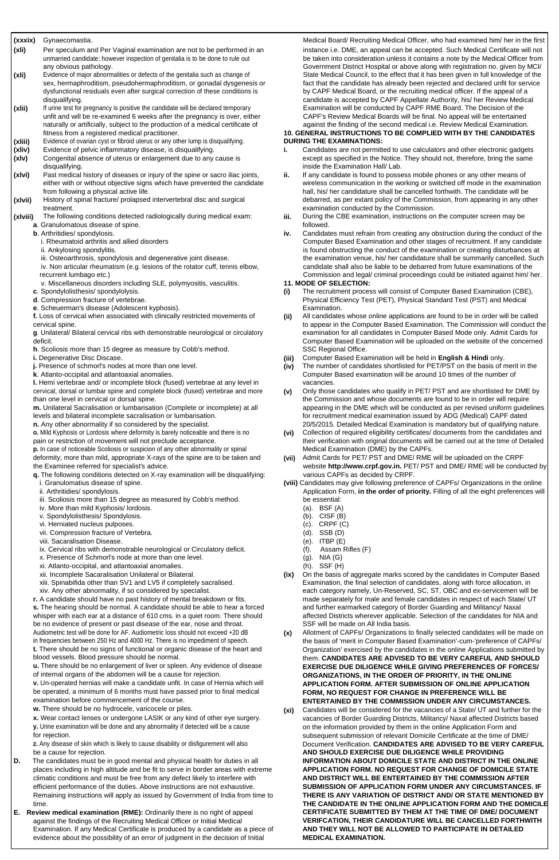#### **(xxxix)** Gynaecomastia.

**Employment News 21 - 27 July 2018 SSC www.employmentnews.gov.in <sup>9</sup>** Medical Board/ Recruiting Medical Officer, who had examined him/ her in the first instance i.e. DME, an appeal can be accepted. Such Medical Certificate will not be taken into consideration unless it contains a note by the Medical Officer from Government District Hospital or above along with registration no. given by MCI/ State Medical Council, to the effect that it has been given in full knowledge of the fact that the candidate has already been rejected and declared unfit for service by CAPF Medical Board, or the recruiting medical officer. If the appeal of a candidate is accepted by CAPF Appellate Authority, his/ her Review Medical Examination will be conducted by CAPF RME Board. The Decision of the CAPF's Review Medical Boards will be final. No appeal will be entertained against the finding of the second medical i.e. Review Medical Examination. **10. GENERAL INSTRUCTIONS TO BE COMPLIED WITH BY THE CANDIDATES**

# **DURING THE EXAMINATIONS:**

- **i.** Candidates are not permitted to use calculators and other electronic gadgets except as specified in the Notice. They should not, therefore, bring the same inside the Examination Hall/ Lab.
- **ii.** If any candidate is found to possess mobile phones or any other means of wireless communication in the working or switched off mode in the examination hall, his/ her candidature shall be cancelled forthwith. The candidate will be debarred, as per extant policy of the Commission, from appearing in any other examination conducted by the Commission.
- **iii.** During the CBE examination, instructions on the computer screen may be
- **b**. Arthritidies/ spondylosis. **included a iv.** Candidates must refrain from creating any obstruction during the conduct of the Computer Based Examination and other stages of recruitment. If any candidate is found obstructing the conduct of the examination or creating disturbances at the examination venue, his/ her candidature shall be summarily cancelled. Such candidate shall also be liable to be debarred from future examinations of the Commission and legal/ criminal proceedings could be initiated against him/ her.

# **11. MODE OF SELECTION:**

- **(xli)** Per speculum and Per Vaginal examination are not to be performed in an unmarried candidate; however inspection of genitalia is to be done to rule out any obvious pathology.
- **(xli)** Evidence of major abnormalities or defects of the genitalia such as change of sex, hermaphroditism, pseudohermaphroditism, or gonadal dysgenesis or dysfunctional residuals even after surgical correction of these conditions is disqualifying.
- **(xlii)** If urine test for pregnancy is positive the candidate will be declared temporary unfit and will be re-examined 6 weeks after the pregnancy is over, either naturally or artificially, subject to the production of a medical certificate of fitness from a registered medical practitioner.
- **(xliii)** Evidence of ovarian cyst or fibroid uterus or any other lump is disqualifying.
- **(xliv)** Evidence of pelvic inflammatory disease, is disqualifying.
- **(xlv)** Congenital absence of uterus or enlargement due to any cause is disqualifying.
- **(xlvi)** Past medical history of diseases or injury of the spine or sacro iliac joints, either with or without objective signs which have prevented the candidate from following a physical active life.
- **(xlvii)** History of spinal fracture/ prolapsed intervertebral disc and surgical treatment.
- **(xlviii)** The following conditions detected radiologically during medical exam: **a**. Granulomatous disease of spine. followed.
	- - i. Rheumatoid arthritis and allied disorders
		- ii. Ankylosing spondylitis.
		- iii. Osteoarthrosis, spondylosis and degenerative joint disease.
		- iv. Non articular rheumatism (e.g. lesions of the rotator cuff, tennis elbow, recurrent lumbago etc.)
		- v. Miscellaneous disorders including SLE, polymyositis, vasculitis.
	- **c**. Spondylolisthesis/ spondylolysis.
	- **d**. Compression fracture of vertebrae.
	- **e**. Scheuerman's disease (Adolescent kyphosis).
	- **f.** Loss of cervical when associated with clinically restricted movements of cervical spine.
	- **g**. Unilateral/ Bilateral cervical ribs with demonstrable neurological or circulatory deficit.
	- **h**. Scoliosis more than 15 degree as measure by Cobb's method.
	- **i.** Degenerative Disc Discase.
	- **j.** Presence of schmorl's nodes at more than one level.
	- **k**. Atlanto-occipital and atlantoaxial anomalies.
	- **l.** Hemi vertebrae and/ or incomplete block (fused) vertebrae at any level in cervical, dorsal or lumbar spine and complete block (fused) vertebrae and more than one level in cervical or dorsal spine.
	- **m.** Unilateral Sacralisation or lumbarisation (Complete or incomplete) at all levels and bilateral incomplete sacralisation or lumbarisation.
	- **n.** Any other abnormality if so considered by the specialist.
	- **o.** Mild Kyphosis or Lordosis where deformity is barely noticeable and there is no pain or restriction of movement will not preclude acceptance.
	- **p.** In case of noticeable Scoliosis or suspicion of any other abnormality or spinal deformity, more than mild, appropriate X-rays of the spine are to be taken and
	- the Examinee referred for specialist's advice.
	- **q.** The following conditions detected on X-ray examination will be disqualifying: i. Granulomatius disease of spine.
	- ii. Arthritidies/ spondylosis.
	- iii. Scoliosis more than 15 degree as measured by Cobb's method.
	- iv. More than mild Kyphosis/ lordosis.
	- v. Spondylolisthesis/ Spondylosis.
	- vi. Herniated nucleus pulposes.
	- vii. Compression fracture of Vertebra.
	- viii. Sacaralisation Disease.
	- ix. Cervical ribs with demonstrable neurological or Circulatory deficit.
	- x. Presence of Schmorl's node at more than one level.
	- xi. Atlanto-occipital, and atlantoaxial anomalies.
	- xii. Incomplete Sacaralisation Unilateral or Bilateral.
	- xiii. Spinabifida other than SV1 and LV5 if completely sacralised.
	- xiv. Any other abnormality, if so considered by specialist.
	- **r.** A candidate should have no past history of mental breakdown or fits. **s.** The hearing should be normal. A candidate should be able to hear a forced whisper with each ear at a distance of 610 cms. in a quiet room. There should be no evidence of present or past disease of the ear, nose and throat. Audiometric test will be done for AF. Audiometric loss should not exceed +20 dB in frequencies between 250 Hz and 4000 Hz. There is no impediment of speech.
	- **t.** There should be no signs of functional or organic disease of the heart and blood vessels. Blood pressure should be normal.
	- **u.** There should be no enlargement of liver or spleen. Any evidence of disease of internal organs of the abdomen will be a cause for rejection.
	-

**x.** Wear contact lenses or undergone LASIK or any kind of other eye surgery. **y.** Urine examination will be done and any abnormality if detected will be a cause for rejection.

**D.** The candidates must be in good mental and physical health for duties in all places including in high altitude and be fit to serve in border areas with extreme climatic conditions and must be free from any defect likely to interfere with efficient performance of the duties. Above instructions are not exhaustive. Remaining instructions will apply as issued by Government of India from time to time.

- **(i)** The recruitment process will consist of Computer Based Examination (CBE), Physical Efficiency Test (PET), Physical Standard Test (PST) and Medical Examination.
- **(ii)** All candidates whose online applications are found to be in order will be called to appear in the Computer Based Examination. The Commission will conduct the examination for all candidates in Computer Based Mode only. Admit Cards for Computer Based Examination will be uploaded on the website of the concerned SSC Regional Office.
- **(iii)** Computer Based Examination will be held in **English & Hindi** only.
- **(iv)** The number of candidates shortlisted for PET/PST on the basis of merit in the Computer Based examination will be around 10 times of the number of vacancies.
- **(v)** Only those candidates who qualify in PET/ PST and are shortlisted for DME by the Commission and whose documents are found to be in order will require appearing in the DME which will be conducted as per revised uniform guidelines for recruitment medical examination issued by ADG (Medical) CAPF dated 20/5/2015. Detailed Medical Examination is mandatory but of qualifying nature.
- **(vi)** Collection of required eligibility certificates/ documents from the candidates and their verification with original documents will be carried out at the time of Detailed Medical Examination (DME) by the CAPFs.
- **(vii)** Admit Cards for PET/ PST and DME/ RME will be uploaded on the CRPF website **http://www.crpf.gov.in.** PET/ PST and DME/ RME will be conducted by various CAPFs as decided by CRPF.
- **(viii)** Candidates may give following preference of CAPFs/ Organizations in the online Application Form, **in the order of priority.** Filling of all the eight preferences will be essential:
	- (a). BSF (A)
	- (b). CISF (B)
	- (c). CRPF (C)
	- (d). SSB (D)
	- (e). ITBP (E)
	- (f). Assam Rifles (F)
	- (g). NIA (G)
	- (h). SSF (H)
- **(ix)** On the basis of aggregate marks scored by the candidates in Computer Based Examination, the final selection of candidates, along with force allocation, in each category namely, Un-Reserved, SC, ST, OBC and ex-servicemen will be made separately for male and female candidates in respect of each State/ UT and further earmarked category of Border Guarding and Militancy/ Naxal affected Districts wherever applicable. Selection of the candidates for NIA and SSF will be made on All India basis.
- **(x)** Allotment of CAPFs/ Organizations to finally selected candidates will be made on the basis of 'merit in Computer Based Examination'-cum-'preference of CAPFs/ Organization' exercised by the candidates in the online Applications submitted by them. **CANDIDATES ARE ADVISED TO BE VERY CAREFUL AND SHOULD EXERCISE DUE DILIGENCE WHILE GIVING PREFERENCES OF FORCES/ ORGANIZATIONS, IN THE ORDER OF PRIORITY, IN THE ONLINE**

**v.** Un-operated hernias will make a candidate unfit. In case of Hernia which will be operated, a minimum of 6 months must have passed prior to final medical examination before commencement of the course.

**w.** There should be no hydrocele, varicocele or piles.

**z.** Any disease of skin which is likely to cause disability or disfigurement will also be a cause for rejection.

#### **APPLICATION FORM. AFTER SUBMISSION OF ONLINE APPLICATION FORM, NO REQUEST FOR CHANGE IN PREFERENCE WILL BE ENTERTAINED BY THE COMMISSION UNDER ANY CIRCUMSTANCES.**

**(xi)** Candidates will be considered for the vacancies of a State/ UT and further for the vacancies of Border Guarding Districts, Militancy/ Naxal affected Districts based on the information provided by them in the online Application Form and subsequent submission of relevant Domicile Certificate at the time of DME/ Document Verification. **CANDIDATES ARE ADVISED TO BE VERY CAREFUL AND SHOULD EXERCISE DUE DILIGENCE WHILE PROVIDING APPLICATION FORM. NO REQUEST FOR CHANGE OF DOMICILE STATE AND DISTRICT WILL BE ENTERTAINED BY THE COMMISSION AFTER SUBMISSION OF APPLICATION FORM UNDER ANY CIRCUMSTANCES. IF THERE IS ANY VARIATION OF DISTRICT AND/ OR STATE MENTIONED BY THE CANDIDATE IN THE ONLINE APPLICATION FORM AND THE DOMICILE CERTIFICATE SUBMITTED BY THEM AT THE TIME OF DME/ DOCUMENT VERIFCATION, THEIR CANDIDATURE WILL BE CANCELLED FORTHWITH AND THEY WILL NOT BE ALLOWED TO PARTICIPATE IN DETAILED MEDICAL EXAMINATION.**

**E. Review medical examination (RME):** Ordinarily there is no right of appeal against the findings of the Recruiting Medical Officer or Initial Medical Examination. If any Medical Certificate is produced by a candidate as a piece of evidence about the possibility of an error of judgment in the decision of Initial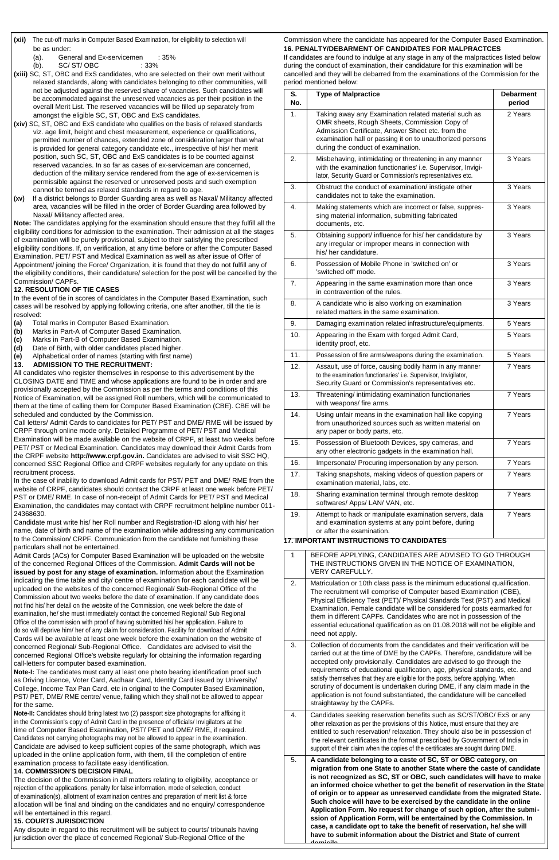2. Matriculation or 10th class pass is the minimum educational qualification. The recruitment will comprise of Computer based Examination (CBE), Physical Efficiency Test (PET)/ Physical Standards Test (PST) and Medical Examination. Female candidate will be considered for posts earmarked for them in different CAPFs. Candidates who are not in possession of the essential educational qualification as on 01.08.2018 will not be eligible and need not apply.

3. Collection of documents from the candidates and their verification will be carried out at the time of DME by the CAPFs. Therefore, candidature will be accepted only provisionally. Candidates are advised to go through the requirements of educational qualification, age, physical standards, etc. and satisfy themselves that they are eligible for the posts, before applying. When scrutiny of document is undertaken during DME, if any claim made in the application is not found substantiated, the candidature will be cancelled straightaway by the CAPFs.

- 4. Candidates seeking reservation benefits such as SC/ST/OBC/ ExS or any other relaxation as per the provisions of this Notice, must ensure that they are entitled to such reservation/ relaxation. They should also be in possession of the relevant certificates in the format prescribed by Government of India in support of their claim when the copies of the certificates are sought during DME.
- 5. **A candidate belonging to a caste of SC, ST or OBC category, on migration from one State to another State where the caste of candidate is not recognized as SC, ST or OBC, such candidates will have to make an informed choice whether to get the benefit of reservation in the State of origin or to appear as unreserved candidate from the migrated State. Such choice will have to be exercised by the candidate in the online Application Form. No request for change of such option, after the submission of Application Form, will be entertained by the Commission. In case, a candidate opt to take the benefit of reservation, he/ she will have to submit information about the District and State of current domicile**

**<sup>10</sup> www.employmentnews.gov.in SSC Employment News 21 - 27 July 2018**

# **(xii)** The cut-off marks in Computer Based Examination, for eligibility to selection will Commission where the candidate has appeared for the Computer Based Examination. **16. PENALTY/DEBARMENT OF CANDIDATES FOR MALPRACTCES**

- be as under:
	- (a). General and Ex-servicemen : 35%
	- (b). SC/ ST/ OBC : 33%
- **(xiii)** SC, ST, OBC and ExS candidates, who are selected on their own merit without relaxed standards, along with candidates belonging to other communities, will not be adjusted against the reserved share of vacancies. Such candidates will be accommodated against the unreserved vacancies as per their position in the overall Merit List. The reserved vacancies will be filled up separately from amongst the eligible SC, ST, OBC and ExS candidates.
- **(xiv)** SC, ST, OBC and ExS candidate who qualifies on the basis of relaxed standards viz. age limit, height and chest measurement, experience or qualifications, permitted number of chances, extended zone of consideration larger than what is provided for general category candidate etc., irrespective of his/ her merit position, such SC, ST, OBC and ExS candidates is to be counted against reserved vacancies. In so far as cases of ex-serviceman are concerned, deduction of the military service rendered from the age of ex-servicemen is permissible against the reserved or unreserved posts and such exemption cannot be termed as relaxed standards in regard to age.
- **(xv)** If a district belongs to Border Guarding area as well as Naxal/ Militancy affected area, vacancies will be filled in the order of Border Guarding area followed by Naxal/ Militancy affected area.

| S.<br>No.    | <b>Type of Malpractice</b>                                                                                                                                                                                                                                   | <b>Debarment</b><br>period |
|--------------|--------------------------------------------------------------------------------------------------------------------------------------------------------------------------------------------------------------------------------------------------------------|----------------------------|
| 1.           | Taking away any Examination related material such as<br>OMR sheets, Rough Sheets, Commission Copy of<br>Admission Certificate, Answer Sheet etc. from the<br>examination hall or passing it on to unauthorized persons<br>during the conduct of examination. | 2 Years                    |
| 2.           | Misbehaving, intimidating or threatening in any manner<br>with the examination functionaries' i.e. Supervisor, Invigi-<br>lator, Security Guard or Commission's representatives etc.                                                                         | 3 Years                    |
| 3.           | Obstruct the conduct of examination/ instigate other<br>candidates not to take the examination.                                                                                                                                                              | 3 Years                    |
| 4.           | Making statements which are incorrect or false, suppres-<br>sing material information, submitting fabricated<br>documents, etc.                                                                                                                              | 3 Years                    |
| 5.           | Obtaining support/ influence for his/ her candidature by<br>any irregular or improper means in connection with<br>his/her candidature.                                                                                                                       | 3 Years                    |
| 6.           | Possession of Mobile Phone in 'switched on' or<br>'switched off' mode.                                                                                                                                                                                       | 3 Years                    |
| 7.           | Appearing in the same examination more than once<br>in contravention of the rules.                                                                                                                                                                           | 3 Years                    |
| 8.           | A candidate who is also working on examination<br>related matters in the same examination.                                                                                                                                                                   | 3 Years                    |
| 9.           | Damaging examination related infrastructure/equipments.                                                                                                                                                                                                      | 5 Years                    |
| 10.          | Appearing in the Exam with forged Admit Card,<br>identity proof, etc.                                                                                                                                                                                        | 5 Years                    |
| 11.          | Possession of fire arms/weapons during the examination.                                                                                                                                                                                                      | 5 Years                    |
| 12.          | Assault, use of force, causing bodily harm in any manner<br>to the examination functionaries' i.e. Supervisor, Invigilator,<br>Security Guard or Commission's representatives etc.                                                                           | 7 Years                    |
| 13.          | Threatening/ intimidating examination functionaries<br>with weapons/ fire arms.                                                                                                                                                                              | 7 Years                    |
| 14.          | Using unfair means in the examination hall like copying<br>from unauthorized sources such as written material on<br>any paper or body parts, etc.                                                                                                            | 7 Years                    |
| 15.          | Possession of Bluetooth Devices, spy cameras, and<br>any other electronic gadgets in the examination hall.                                                                                                                                                   | 7 Years                    |
| 16.          | Impersonate/ Procuring impersonation by any person.                                                                                                                                                                                                          | 7 Years                    |
| 17.          | Taking snapshots, making videos of question papers or<br>examination material, labs, etc.                                                                                                                                                                    | 7 Years                    |
| 18.          | Sharing examination terminal through remote desktop<br>softwares/ Apps/ LAN/ VAN, etc.                                                                                                                                                                       | 7 Years                    |
| 19.          | Attempt to hack or manipulate examination servers, data<br>and examination systems at any point before, during<br>or after the examination.                                                                                                                  | 7 Years                    |
|              | <b>17. IMPORTANT INSTRUCTIONS TO CANDIDATES</b>                                                                                                                                                                                                              |                            |
| $\mathbf{1}$ | BEFORE APPLYING, CANDIDATES ARE ADVISED TO GO THROUGH<br>THE INSTRUCTIONS GIVEN IN THE NOTICE OF EXAMINATION,<br>VERY CAREFULLY.                                                                                                                             |                            |
|              |                                                                                                                                                                                                                                                              |                            |

If candidates are found to indulge at any stage in any of the malpractices listed below during the conduct of examination, their candidature for this examination will be cancelled and they will be debarred from the examinations of the Commission for the period mentioned below:

**Note:** The candidates applying for the examination should ensure that they fulfill all the eligibility conditions for admission to the examination. Their admission at all the stages of examination will be purely provisional, subject to their satisfying the prescribed eligibility conditions. If, on verification, at any time before or after the Computer Based Examination. PET/ PST and Medical Examination as well as after issue of Offer of Appointment/ joining the Force/ Organization, it is found that they do not fulfill any of the eligibility conditions, their candidature/ selection for the post will be cancelled by the Commission/ CAPFs.

# **12. RESOLUTION OF TIE CASES**

In the event of tie in scores of candidates in the Computer Based Examination, such cases will be resolved by applying following criteria, one after another, till the tie is resolved:

- **(a)** Total marks in Computer Based Examination.
- **(b)** Marks in Part-A of Computer Based Examination.
- **(c)** Marks in Part-B of Computer Based Examination.
- **(d)** Date of Birth, with older candidates placed higher.
- **(e)** Alphabetical order of names (starting with first name)
- **13. ADMISSION TO THE RECRUITMENT:**

All candidates who register themselves in response to this advertisement by the CLOSING DATE and TIME and whose applications are found to be in order and are provisionally accepted by the Commission as per the terms and conditions of this Notice of Examination, will be assigned Roll numbers, which will be communicated to them at the time of calling them for Computer Based Examination (CBE). CBE will be scheduled and conducted by the Commission.

Call letters/ Admit Cards to candidates for PET/ PST and DME/ RME will be issued by CRPF through online mode only. Detailed Programme of PET/ PST and Medical Examination will be made available on the website of CRPF, at least two weeks before PET/ PST or Medical Examination. Candidates may download their Admit Cards from the CRPF website **http://www.crpf.gov.in.** Candidates are advised to visit SSC HQ, concerned SSC Regional Office and CRPF websites regularly for any update on this recruitment process.

In the case of inability to download Admit cards for PST/ PET and DME/ RME from the website of CRPF, candidates should contact the CRPF at least one week before PET/ PST or DME/ RME. In case of non-receipt of Admit Cards for PET/ PST and Medical Examination, the candidates may contact with CRPF recruitment helpline number 011- 24368630.

Candidate must write his/ her Roll number and Registration-ID along with his/ her name, date of birth and name of the examination while addressing any communication to the Commission/ CRPF. Communication from the candidate not furnishing these particulars shall not be entertained.

Admit Cards (ACs) for Computer Based Examination will be uploaded on the website of the concerned Regional Offices of the Commission. **Admit Cards will not be issued by post for any stage of examination.** Information about the Examination indicating the time table and city/ centre of examination for each candidate will be uploaded on the websites of the concerned Regional/ Sub-Regional Office of the Commission about two weeks before the date of examination. If any candidate does not find his/ her detail on the website of the Commission, one week before the date of examination, he/ she must immediately contact the concerned Regional/ Sub Regional Office of the commission with proof of having submitted his/ her application. Failure to do so will deprive him/ her of any claim for consideration. Facility for download of Admit Cards will be available at least one week before the examination on the website of concerned Regional/ Sub-Regional Office. Candidates are advised to visit the concerned Regional Office's website regularly for obtaining the information regarding call-letters for computer based examination.

**Note-I:** The candidates must carry at least one photo bearing identification proof such as Driving Licence, Voter Card, Aadhaar Card, Identity Card issued by University/ College, Income Tax Pan Card, etc in original to the Computer Based Examination, PST/ PET, DME/ RME centre/ venue, failing which they shall not be allowed to appear for the same. **Note-II:** Candidates should bring latest two (2) passport size photographs for affixing it in the Commission's copy of Admit Card in the presence of officials/ Invigilators at the time of Computer Based Examination, PST/ PET and DME/ RME, if required. Candidates not carrying photographs may not be allowed to appear in the examination. Candidate are advised to keep sufficient copies of the same photograph, which was uploaded in the online application form, with them, till the completion of entire examination process to facilitate easy identification.

# **14. COMMISSION'S DECISION FINAL**

The decision of the Commission in all matters relating to eligibility, acceptance or rejection of the applications, penalty for false information, mode of selection, conduct of examination(s), allotment of examination centres and preparation of merit list & force allocation will be final and binding on the candidates and no enquiry/ correspondence will be entertained in this regard. **15. COURTS JURISDICTION**

Any dispute in regard to this recruitment will be subject to courts/ tribunals having jurisdiction over the place of concerned Regional/ Sub-Regional Office of the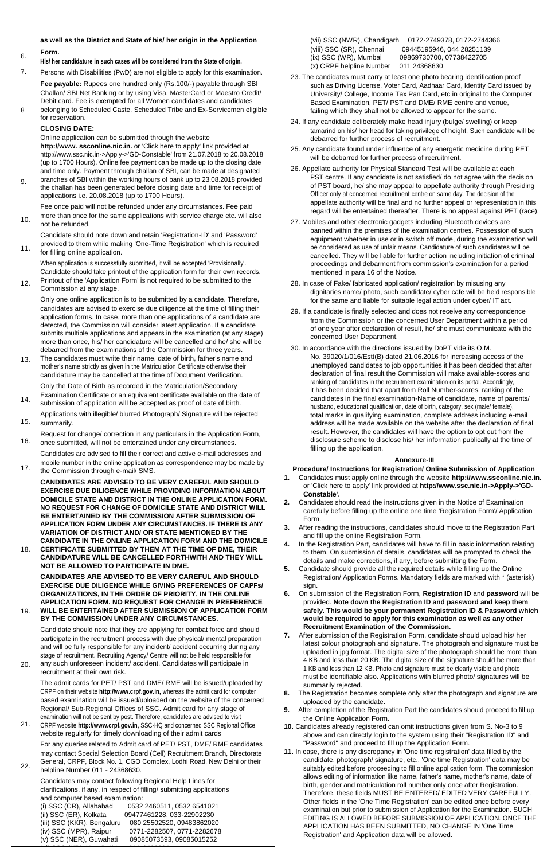20.

21. CRPF website **http://www.crpf.gov.in**, SSC-HQ and concerned SSC Regional Office website regularly for timely downloading of their admit cards

(i) SSC (CR), Allahabad 0532 2460511, 0532 6541021 (ii) SSC (ER), Kolkata 09477461228, 033-22902230 (iii) SSC (KKR), Bengaluru 080 25502520, 09483862020 (iv) SSC (MPR), Raipur 0771-2282507, 0771-2282678<br>(v) SSC (NER), Guwahati 09085073593, 09085015252 09085073593, 09085015252 <u>(video (nr), new Delhi 211-24363434</u>

stage of recruitment. Recruiting Agency/ Centre will not be held responsible for any such unforeseen incident/ accident. Candidates will participate in

recruitment at their own risk.

The admit cards for PET/ PST and DME/ RME will be issued/uploaded by CRPF on their website **http://www.crpf.gov.in,** whereas the admit card for computer based examination will be issued/uploaded on the website of the concerned Regional/ Sub-Regional Offices of SSC. Admit card for any stage of examination will not be sent by post. Therefore, candidates are advised to visit

For any queries related to Admit card of PET/ PST, DME/ RME candidates may contact Special Selection Board (Cell) Recruitment Branch, Directorate General, CRPF, Block No. 1, CGO Complex, Lodhi Road, New Delhi or their helpline Number 011 - 24368630.

|     | as well as the District and State of his/ her origin in the Application                                                                                                                                                                                                                                                                                                                                                                                                           | (vii) SSC (NWR), Chandigarh 0172-2749378, 0172-2744366                                                                                                                                                                                                                                                                                                                                                                       |
|-----|-----------------------------------------------------------------------------------------------------------------------------------------------------------------------------------------------------------------------------------------------------------------------------------------------------------------------------------------------------------------------------------------------------------------------------------------------------------------------------------|------------------------------------------------------------------------------------------------------------------------------------------------------------------------------------------------------------------------------------------------------------------------------------------------------------------------------------------------------------------------------------------------------------------------------|
| 6.  | Form.<br>His/her candidature in such cases will be considered from the State of origin.                                                                                                                                                                                                                                                                                                                                                                                           | (viii) SSC (SR), Chennai<br>09445195946, 044 28251139<br>(ix) SSC (WR), Mumbai<br>09869730700, 07738422705<br>(x) CRPF helpline Number<br>011 24368630                                                                                                                                                                                                                                                                       |
| 7.  | Persons with Disabilities (PwD) are not eligible to apply for this examination.                                                                                                                                                                                                                                                                                                                                                                                                   | 23. The candidates must carry at least one photo bearing identification proof                                                                                                                                                                                                                                                                                                                                                |
| 8   | Fee payable: Rupees one hundred only (Rs.100/-) payable through SBI<br>Challan/ SBI Net Banking or by using Visa, MasterCard or Maestro Credit/<br>Debit card. Fee is exempted for all Women candidates and candidates<br>belonging to Scheduled Caste, Scheduled Tribe and Ex-Servicemen eligible                                                                                                                                                                                | such as Driving License, Voter Card, Aadhaar Card, Identity Card issued by<br>University/ College, Income Tax Pan Card, etc in original to the Computer<br>Based Examination, PET/ PST and DME/ RME centre and venue,<br>failing which they shall not be allowed to appear for the same.                                                                                                                                     |
|     | for reservation.<br><b>CLOSING DATE:</b><br>Online application can be submitted through the website                                                                                                                                                                                                                                                                                                                                                                               | 24. If any candidate deliberately make head injury (bulge/ swelling) or keep<br>tamarind on his/ her head for taking privilege of height. Such candidate will be<br>debarred for further process of recruitment.                                                                                                                                                                                                             |
|     | http://www.ssconline.nic.in. or 'Click here to apply' link provided at<br>http://www.ssc.nic.in->Apply->'GD-Constable' from 21.07.2018 to 20.08.2018<br>(up to 1700 Hours). Online fee payment can be made up to the closing date                                                                                                                                                                                                                                                 | 25. Any candidate found under influence of any energetic medicine during PET<br>will be debarred for further process of recruitment.                                                                                                                                                                                                                                                                                         |
| 9.  | and time only. Payment through challan of SBI, can be made at designated<br>branches of SBI within the working hours of bank up to 23.08.2018 provided<br>the challan has been generated before closing date and time for receipt of<br>applications i.e. 20.08.2018 (up to 1700 Hours).                                                                                                                                                                                          | 26. Appellate authority for Physical Standard Test will be available at each<br>PST centre. If any candidate is not satisfied/ do not agree with the decision<br>of PST board, he/ she may appeal to appellate authority through Presiding<br>Officer only at concerned recruitment centre on same day. The decision of the<br>appellate authority will be final and no further appeal or representation in this             |
| 10. | Fee once paid will not be refunded under any circumstances. Fee paid<br>more than once for the same applications with service charge etc. will also                                                                                                                                                                                                                                                                                                                               | regard will be entertained thereafter. There is no appeal against PET (race).<br>27. Mobiles and other electronic gadgets including Bluetooth devices are                                                                                                                                                                                                                                                                    |
| 11. | not be refunded.<br>Candidate should note down and retain 'Registration-ID' and 'Password'<br>provided to them while making 'One-Time Registration' which is required<br>for filling online application.                                                                                                                                                                                                                                                                          | banned within the premises of the examination centres. Possession of such<br>equipment whether in use or in switch off mode, during the examination will<br>be considered as use of unfair means. Candidature of such candidates will be<br>cancelled. They will be liable for further action including initiation of criminal                                                                                               |
| 12. | When application is successfully submitted, it will be accepted 'Provisionally'.<br>Candidate should take printout of the application form for their own records.<br>Printout of the 'Application Form' is not required to be submitted to the<br>Commission at any stage.                                                                                                                                                                                                        | proceedings and debarment from commission's examination for a period<br>mentioned in para 16 of the Notice.<br>28. In case of Fake/ fabricated application/ registration by misusing any                                                                                                                                                                                                                                     |
|     | Only one online application is to be submitted by a candidate. Therefore,<br>candidates are advised to exercise due diligence at the time of filling their<br>application forms. In case, more than one applications of a candidate are<br>detected, the Commission will consider latest application. If a candidate<br>submits multiple applications and appears in the examination (at any stage)<br>more than once, his/ her candidature will be cancelled and he/ she will be | dignitaries name/ photo, such candidate/ cyber cafe will be held responsible<br>for the same and liable for suitable legal action under cyber/ IT act.<br>29. If a candidate is finally selected and does not receive any correspondence<br>from the Commission or the concerned User Department within a period<br>of one year after declaration of result, he/ she must communicate with the<br>concerned User Department. |
| 13. | debarred from the examinations of the Commission for three years.<br>The candidates must write their name, date of birth, father's name and<br>mother's name strictly as given in the Matriculation Certificate otherwise their<br>candidature may be cancelled at the time of Document Verification.                                                                                                                                                                             | 30. In accordance with the directions issued by DoPT vide its O.M.<br>No. 39020/1/016/Estt(B) dated 21.06.2016 for increasing access of the<br>unemployed candidates to job opportunities it has been decided that after<br>declaration of final result the Commission will make available-scores and                                                                                                                        |
| 14. | Only the Date of Birth as recorded in the Matriculation/Secondary<br>Examination Certificate or an equivalent certificate available on the date of<br>submission of application will be accepted as proof of date of birth.                                                                                                                                                                                                                                                       | ranking of candidates in the recruitment examination on its portal. Accordingly,<br>it has been decided that apart from Roll Number-scores, ranking of the<br>candidates in the final examination-Name of candidate, name of parents/<br>husband, educational qualification, date of birth, category, sex (male/ female),                                                                                                    |
| 15. | Applications with illegible/ blurred Photograph/ Signature will be rejected<br>summarily.                                                                                                                                                                                                                                                                                                                                                                                         | total marks in qualifying examination, complete address including e-mail<br>address will be made available on the website after the declaration of final                                                                                                                                                                                                                                                                     |
| 16. | Request for change/ correction in any particulars in the Application Form,<br>once submitted, will not be entertained under any circumstances.                                                                                                                                                                                                                                                                                                                                    | result. However, the candidates will have the option to opt out from the<br>disclosure scheme to disclose his/ her information publically at the time of<br>filling up the application.                                                                                                                                                                                                                                      |
| 17. | Candidates are advised to fill their correct and active e-mail addresses and<br>mobile number in the online application as correspondence may be made by<br>the Commission through e-mail/ SMS.                                                                                                                                                                                                                                                                                   | <b>Annexure-III</b><br>Procedure/ Instructions for Registration/ Online Submission of Application                                                                                                                                                                                                                                                                                                                            |
|     | <b>CANDIDATES ARE ADVISED TO BE VERY CAREFUL AND SHOULD</b><br><b>EXERCISE DUE DILIGENCE WHILE PROVIDING INFORMATION ABOUT</b><br>DOMICILE STATE AND DISTRICT IN THE ONLINE APPLICATION FORM.<br>NO REQUEST FOR CHANGE OF DOMICILE STATE AND DISTRICT WILL<br>BE ENTERTAINED BY THE COMMISSION AFTER SUBMISSION OF                                                                                                                                                                | Candidates must apply online through the website http://www.ssconline.nic.in.<br>1.<br>or 'Click here to apply' link provided at http://www.ssc.nic.in->Apply->'GD-<br>Constable'.<br>Candidates should read the instructions given in the Notice of Examination<br>2.<br>carefully before filling up the online one time 'Registration Form'/ Application<br>Form.                                                          |
| 18. | APPLICATION FORM UNDER ANY CIRCUMSTANCES. IF THERE IS ANY<br><b>VARIATION OF DISTRICT AND/ OR STATE MENTIONED BY THE</b><br><b>CANDIDATE IN THE ONLINE APPLICATION FORM AND THE DOMICILE</b><br>CERTIFICATE SUBMITTED BY THEM AT THE TIME OF DME, THEIR                                                                                                                                                                                                                           | After reading the instructions, candidates should move to the Registration Part<br>3.<br>and fill up the online Registration Form.<br>In the Registration Part, candidates will have to fill in basic information relating<br>4.<br>to them. On submission of details, candidates will be prompted to check the                                                                                                              |
|     | <b>CANDIDATURE WILL BE CANCELLED FORTHWITH AND THEY WILL</b><br>NOT BE ALLOWED TO PARTICIPATE IN DME.<br><b>CANDIDATES ARE ADVISED TO BE VERY CAREFUL AND SHOULD</b>                                                                                                                                                                                                                                                                                                              | details and make corrections, if any, before submitting the Form.<br>5.<br>Candidate should provide all the required details while filling up the Online<br>Registration/ Application Forms. Mandatory fields are marked with * (asterisk)                                                                                                                                                                                   |
| 19. | <b>EXERCISE DUE DILIGENCE WHILE GIVING PREFERENCES OF CAPFS/</b><br>ORGANIZATIONS, IN THE ORDER OF PRIORITY, IN THE ONLINE<br><b>APPLICATION FORM. NO REQUEST FOR CHANGE IN PREFERENCE</b><br>WILL BE ENTERTAINED AFTER SUBMISSION OF APPLICATION FORM                                                                                                                                                                                                                            | sign.<br>On submission of the Registration Form, Registration ID and password will be<br>6.<br>provided. Note down the Registration ID and password and keep them<br>safely. This would be your permanent Registration ID & Password which                                                                                                                                                                                   |
|     | BY THE COMMISSION UNDER ANY CIRCUMSTANCES.                                                                                                                                                                                                                                                                                                                                                                                                                                        | would be required to apply for this examination as well as any other                                                                                                                                                                                                                                                                                                                                                         |
|     | Candidate should note that they are applying for combat force and should                                                                                                                                                                                                                                                                                                                                                                                                          | <b>Recruitment Examination of the Commission.</b>                                                                                                                                                                                                                                                                                                                                                                            |
|     | participate in the recruitment process with due physical/ mental preparation<br>and will be fully responsible for any incident/ accident occurring during any                                                                                                                                                                                                                                                                                                                     | 7. After submission of the Registration Form, candidate should upload his/her<br>latest colour photograph and signature. The photograph and signature must be                                                                                                                                                                                                                                                                |

Candidates may contact following Regional Help Lines for clarifications, if any, in respect of filling/ submitting applications and computer based examination:

uploaded in jpg format. The digital size of the photograph should be more than 4 KB and less than 20 KB. The digital size of the signature should be more than

1 KB and less than 12 KB. Photo and signature must be clearly visible and photo must be identifiable also. Applications with blurred photo/ signatures will be

summarily rejected.

- **8.** The Registration becomes complete only after the photograph and signature are uploaded by the candidate.
- **9.** After completion of the Registration Part the candidates should proceed to fill up the Online Application Form.
- **10.** Candidates already registered can omit instructions given from S. No-3 to 9 above and can directly login to the system using their "Registration ID" and "Password" and proceed to fill up the Application Form.
- **11.** In case, there is any discrepancy in 'One time registration' data filled by the candidate, photograph/ signature, etc., 'One time Registration' data may be suitably edited before proceeding to fill online application form. The commission allows editing of information like name, father's name, mother's name, date of birth, gender and matriculation roll number only once after Registration. Therefore, these fields MUST BE ENTERED/ EDITED VERY CAREFULLY. Other fields in the 'One Time Registration' can be edited once before every examination but prior to submission of Application for the Examination. SUCH EDITING IS ALLOWED BEFORE SUBMISSION OF APPLICATION. ONCE THE APPLICATION HAS BEEN SUBMITTED, NO CHANGE IN 'One Time Registration' and Application data will be allowed.

**Employment News 21 - 27 July 2018 SSC www.employmentnews.gov.in <sup>11</sup>**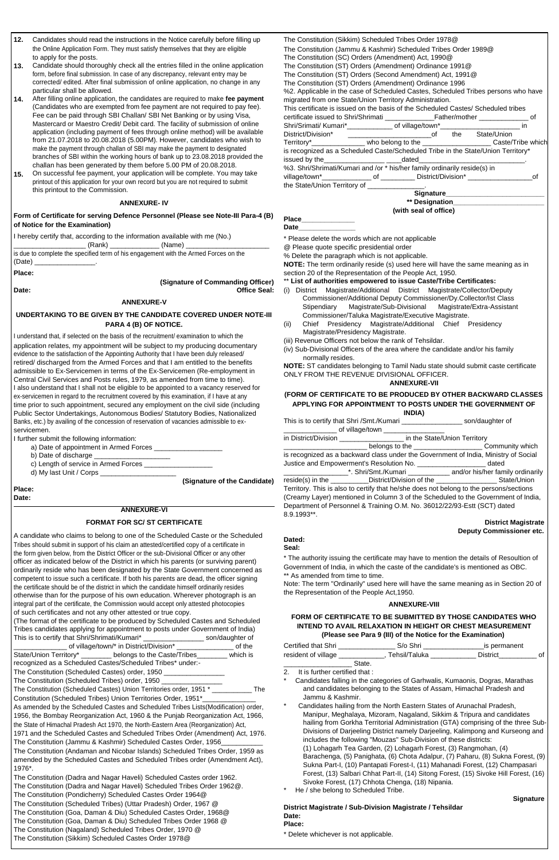**<sup>12</sup> www.employmentnews.gov.in SSC Employment News 21 - 27 July 2018**

- **12.** Candidates should read the instructions in the Notice carefully before filling up the Online Application Form. They must satisfy themselves that they are eligible to apply for the posts.
- **13.** Candidate should thoroughly check all the entries filled in the online application form, before final submission. In case of any discrepancy, relevant entry may be corrected/ edited. After final submission of online application, no change in any particular shall be allowed.
- **14.** After filling online application, the candidates are required to make **fee payment** (Candidates who are exempted from fee payment are not required to pay fee). Fee can be paid through SBI Challan/ SBI Net Banking or by using Visa, Mastercard or Maestro Credit/ Debit card. The facility of submission of online application (including payment of fees through online method) will be available from 21.07.2018 to 20.08.2018 (5.00PM). However, candidates who wish to make the payment through challan of SBI may make the payment to designated branches of SBI within the working hours of bank up to 23.08.2018 provided the challan has been generated by them before 5.00 PM of 20.08.2018.
- **15.** On successful fee payment, your application will be complete. You may take printout of this application for your own record but you are not required to submit this printout to the Commission.

\_ (Rank) \_\_\_\_\_\_\_\_\_\_\_\_\_\_\_\_\_ (Name) \_ is due to complete the specified term of his engagement with the Armed Forces on the (Date) \_\_\_\_\_\_\_\_\_\_\_\_\_\_\_\_.

| The Constitution (Sikkim) Scheduled Tribes Order 1978@                                    |  |  |  |  |  |  |  |  |  |
|-------------------------------------------------------------------------------------------|--|--|--|--|--|--|--|--|--|
| The Constitution (Jammu & Kashmir) Scheduled Tribes Order 1989@                           |  |  |  |  |  |  |  |  |  |
| The Constitution (SC) Orders (Amendment) Act, 1990@                                       |  |  |  |  |  |  |  |  |  |
| The Constitution (ST) Orders (Amendment) Ordinance 1991@                                  |  |  |  |  |  |  |  |  |  |
| The Constitution (ST) Orders (Second Amendment) Act, 1991@                                |  |  |  |  |  |  |  |  |  |
| The Constitution (ST) Orders (Amendment) Ordinance 1996                                   |  |  |  |  |  |  |  |  |  |
| %2. Applicable in the case of Scheduled Castes, Scheduled Tribes persons who have         |  |  |  |  |  |  |  |  |  |
| migrated from one State/Union Territory Administration.                                   |  |  |  |  |  |  |  |  |  |
| This certificate is issued on the basis of the Scheduled Castes/ Scheduled tribes         |  |  |  |  |  |  |  |  |  |
| certificate issued to Shri/Shrimati __________________Father/mother _________________ of  |  |  |  |  |  |  |  |  |  |
| Shri/Srimati/ Kumari*________________ of village/town*__________________________ in       |  |  |  |  |  |  |  |  |  |
| District/Division* ______________________________of the State/Union                       |  |  |  |  |  |  |  |  |  |
| Territory*___________________ who belong to the ________________________Caste/Tribe which |  |  |  |  |  |  |  |  |  |
| is recognized as a Scheduled Caste/Scheduled Tribe in the State/Union Territory*          |  |  |  |  |  |  |  |  |  |
|                                                                                           |  |  |  |  |  |  |  |  |  |
| %3. Shri/Shrimati/Kumari and /or * his/her family ordinarily reside(s) in                 |  |  |  |  |  |  |  |  |  |
|                                                                                           |  |  |  |  |  |  |  |  |  |
| the State/Union Territory of _______________.                                             |  |  |  |  |  |  |  |  |  |
| Signature_________________________                                                        |  |  |  |  |  |  |  |  |  |
| ** Designation_____________                                                               |  |  |  |  |  |  |  |  |  |

#### **ANNEXURE- IV**

**Form of Certificate for serving Defence Personnel (Please see Note-III Para-4 (B) of Notice for the Examination)**

#### **Place\_\_\_\_\_\_\_\_\_\_\_\_\_\_ Date\_\_\_\_\_\_\_\_\_\_\_\_\_\_\_**

| (with seal of office) |  |  |
|-----------------------|--|--|

I hereby certify that, according to the information available with me (No.)

**Place:**

# **(Signature of Commanding Officer)**

\* Please delete the words which are not applicable

@ Please quote specific presidential order

% Delete the paragraph which is not applicable.

The Constitution (Scheduled Castes) Union Territories order, 1951 \* \_\_\_\_\_\_\_\_\_\_\_ The Constitution (Scheduled Tribes) Union Territories Order, 1951\*

**NOTE:** The term ordinarily reside (s) used here will have the same meaning as in section 20 of the Representation of the People Act, 1950.

#### \*\* **List of authorities empowered to issue Caste/Tribe Certificates:**

**ANNEXURE-V**

# **UNDERTAKING TO BE GIVEN BY THE CANDIDATE COVERED UNDER NOTE-III**

I understand that, if selected on the basis of the recruitment/ examination to which the application relates, my appointment will be subject to my producing documentary evidence to the satisfaction of the Appointing Authority that I have been duly released/ retired/ discharged from the Armed Forces and that I am entitled to the benefits admissible to Ex-Servicemen in terms of the Ex-Servicemen (Re-employment in Central Civil Services and Posts rules, 1979, as amended from time to time). I also understand that I shall not be eligible to be appointed to a vacancy reserved for ex-servicemen in regard to the recruitment covered by this examination, if I have at any time prior to such appointment, secured any employment on the civil side (including Public Sector Undertakings, Autonomous Bodies/ Statutory Bodies, Nationalized Banks, etc.) by availing of the concession of reservation of vacancies admissible to exservicemen.

> \* The authority issuing the certificate may have to mention the details of Resoultion of Government of India, in which the caste of the candidate's is mentioned as OBC. \*\* As amended from time to time.

I further submit the following information:

- a) Date of appointment in Armed Forces \_
- b) Date of discharge
- c) Length of service in Armed Forces
- d) My last Unit / Corps \_\_

**(Signature of the Candidate)**

**Place: Date:**

# **ANNEXURE-VI**

### **FORMAT FOR SC/ ST CERTIFICATE**

A candidate who claims to belong to one of the Scheduled Caste or the Scheduled Tribes should submit in support of his claim an attested/certified copy of a certificate in the form given below, from the District Officer or the sub-Divisional Officer or any other officer as indicated below of the District in which his parents (or surviving parent) ordinarily reside who has been designated by the State Government concerned as competent to issue such a certificate. If both his parents are dead, the officer signing the certificate should be of the district in which the candidate himself ordinarily resides otherwise than for the purpose of his own education. Wherever photograph is an integral part of the certificate, the Commission would accept only attested photocopies of such certificates and not any other attested or true copy.

- **Date: Office Seal:** (i) District Magistrate/Additional District Magistrate/Collector/Deputy Commissioner/Additional Deputy Commissioner/Dy.Collector/Ist Class Stipendiary Magistrate/Sub-Divisional Magistrate/Extra-Assistant Commissioner/Taluka Magistrate/Executive Magistrate.
	- **PARA 4 (B) OF NOTICE.** (ii) Chief Presidency Magistrate/Additional Chief Presidency Magistrate/Presidency Magistrate.

(The format of the certificate to be produced by Scheduled Castes and Scheduled Tribes candidates applying for appointment to posts under Government of India) This is to certify that Shri/Shrimati/Kumari\* \_\_\_\_\_\_\_\_\_\_\_\_\_\_\_\_ son/daughter of

| of village/town/* in District/Division*                     | of the   |
|-------------------------------------------------------------|----------|
| State/Union Territory* _______ belongs to the Caste/Tribes_ | which is |
| recognized as a Scheduled Castes/Scheduled Tribes* under:-  |          |
| The Constitution (Scheduled Castes) order, 1950             |          |
| The Constitution (Scheduled Tribes) order, 1950             |          |

|  | Il is further certified that .       |
|--|--------------------------------------|
|  | Candidates falling in the categories |

As amended by the Scheduled Castes and Scheduled Tribes Lists(Modification) order, 1956, the Bombay Reorganization Act, 1960 & the Punjab Reorganization Act, 1966, the State of Himachal Pradesh Act 1970, the North-Eastern Area (Reorganization) Act, 1971 and the Scheduled Castes and Scheduled Tribes Order (Amendment) Act, 1976.

The Constitution (Jammu & Kashmir) Scheduled Castes Order, 1956

The Constitution (Andaman and Nicobar Islands) Scheduled Tribes Order, 1959 as amended by the Scheduled Castes and Scheduled Tribes order (Amendment Act), 1976\*.

The Constitution (Dadra and Nagar Haveli) Scheduled Castes order 1962. The Constitution (Dadra and Nagar Haveli) Scheduled Tribes Order 1962@. The Constitution (Pondicherry) Scheduled Castes Order 1964@ The Constitution (Scheduled Tribes) (Uttar Pradesh) Order, 1967 @ The Constitution (Goa, Daman & Diu) Scheduled Castes Order, 1968@ The Constitution (Goa, Daman & Diu) Scheduled Tribes Order 1968 @ The Constitution (Nagaland) Scheduled Tribes Order, 1970 @ The Constitution (Sikkim) Scheduled Castes Order 1978@

(iii) Revenue Officers not below the rank of Tehsildar.

(iv) Sub-Divisional Officers of the area where the candidate and/or his family normally resides.

**NOTE:** ST candidates belonging to Tamil Nadu state should submit caste certificate ONLY FROM THE REVENUE DIVISIONAL OFFICER.

#### **ANNEXURE-VII**

#### **(FORM OF CERTIFICATE TO BE PRODUCED BY OTHER BACKWARD CLASSES APPLYING FOR APPOINTMENT TO POSTS UNDER THE GOVERNMENT OF INDIA)**

|             | INDIAI                                                                                      |                                                                                     |
|-------------|---------------------------------------------------------------------------------------------|-------------------------------------------------------------------------------------|
|             | This is to certify that Shri /Smt./Kumari ______________________ son/daughter of            |                                                                                     |
|             | ___________________ of village/town ________                                                |                                                                                     |
|             | in District/Division _____________________ in the State/Union Territory                     |                                                                                     |
|             |                                                                                             |                                                                                     |
|             |                                                                                             | is recognized as a backward class under the Government of India, Ministry of Social |
|             | Justice and Empowerment's Resolution No. ______________________ dated                       |                                                                                     |
|             |                                                                                             | ______________*. Shri/Smt./Kumari ___________ and/or his/her family ordinarily      |
|             | reside(s) in the ______________District/Division of the ________________________State/Union |                                                                                     |
|             | Territory. This is also to certify that he/she does not belong to the persons/sections      |                                                                                     |
|             |                                                                                             | (Creamy Layer) mentioned in Column 3 of the Scheduled to the Government of India,   |
|             | Department of Personnel & Training O.M. No. 36012/22/93-Estt (SCT) dated                    |                                                                                     |
| 8.9.1993**. |                                                                                             |                                                                                     |

#### **District Magistrate Deputy Commissioner etc.**

## **Dated: Seal:**

Note: The term "Ordinarily" used here will have the same meaning as in Section 20 of the Representation of the People Act,1950.

#### **ANNEXURE-VIII**

#### **FORM OF CERTIFICATE TO BE SUBMITTED BY THOSE CANDIDATES WHO INTEND TO AVAIL RELAXATION IN HEIGHT OR CHEST MEASUREMENT (Please see Para 9 (III) of the Notice for the Examination)**

| Certified that Shri |        | S/o Shri      | is permanent    |  |
|---------------------|--------|---------------|-----------------|--|
| resident of village |        | Tehsil/Taluka | <b>District</b> |  |
|                     | State. |               |                 |  |

It is further certified that

of Garhwalis, Kumaonis, Dogras, Marathas

- and candidates belonging to the States of Assam, Himachal Pradesh and Jammu & Kashmir.
- Candidates hailing from the North Eastern States of Arunachal Pradesh, Manipur, Meghalaya, Mizoram, Nagaland, Sikkim & Tripura and candidates hailing from Gorkha Territorial Administration (GTA) comprising of the three Sub-Divisions of Darjeeling District namely Darjeeling, Kalimpong and Kurseong and includes the following "Mouzas" Sub-Division of these districts: (1) Lohagarh Tea Garden, (2) Lohagarh Forest, (3) Rangmohan, (4) Barachenga, (5) Panighata, (6) Chota Adalpur, (7) Paharu, (8) Sukna Forest, (9) Sukna Part-I, (10) Pantapati Forest-I, (11) Mahanadi Forest, (12) Champasari Forest, (13) Salbari Chhat Part-II, (14) Sitong Forest, (15) Sivoke Hill Forest, (16) Sivoke Forest, (17) Chhota Chenga, (18) Nipania.

He / she belong to Scheduled Tribe.

#### **Signature**

**District Magistrate / Sub-Division Magistrate / Tehsildar Date: Place:**

\* Delete whichever is not applicable.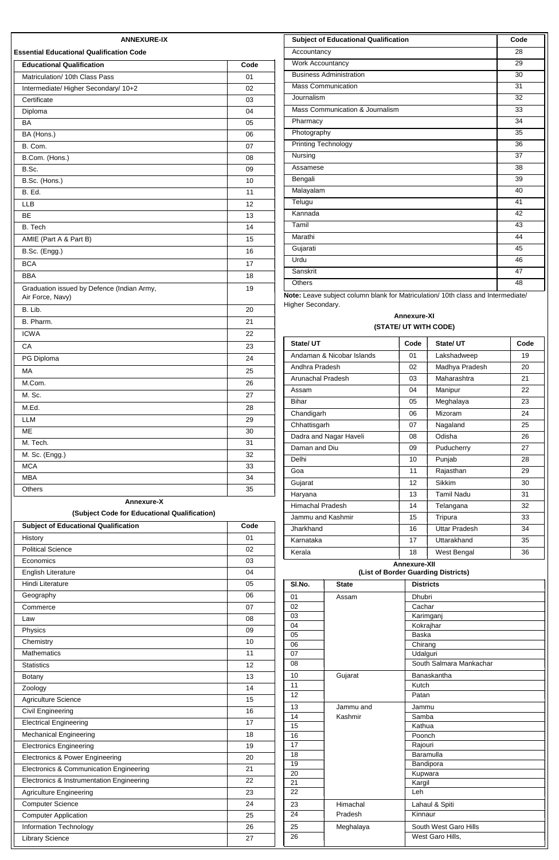| <b>Educational Qualification</b>                               | Code |
|----------------------------------------------------------------|------|
| Matriculation/ 10th Class Pass                                 | 01   |
| Intermediate/ Higher Secondary/ 10+2                           | 02   |
| Certificate                                                    | 03   |
| Diploma                                                        | 04   |
| <b>BA</b>                                                      | 05   |
| BA (Hons.)                                                     | 06   |
| B. Com.                                                        | 07   |
| B.Com. (Hons.)                                                 | 08   |
| B.Sc.                                                          | 09   |
| B.Sc. (Hons.)                                                  | 10   |
| B. Ed.                                                         | 11   |
| <b>LLB</b>                                                     | 12   |
| <b>BE</b>                                                      | 13   |
| B. Tech                                                        | 14   |
| AMIE (Part A & Part B)                                         | 15   |
| B.Sc. (Engg.)                                                  | 16   |
| <b>BCA</b>                                                     | 17   |
| <b>BBA</b>                                                     | 18   |
| Graduation issued by Defence (Indian Army,<br>Air Force, Navy) | 19   |
| B. Lib.                                                        | 20   |
| B. Pharm.                                                      | 21   |
| <b>ICWA</b>                                                    | 22   |
| CA                                                             | 23   |
| PG Diploma                                                     | 24   |
| <b>MA</b>                                                      | 25   |
| M.Com.                                                         | 26   |
| M. Sc.                                                         | 27   |
| M.Ed.                                                          | 28   |
| <b>LLM</b>                                                     | 29   |
| ME                                                             | 30   |
| M. Tech.                                                       | 31   |
| M. Sc. (Engg.)                                                 | 32   |
| <b>MCA</b>                                                     | 33   |
| <b>MBA</b>                                                     | 34   |
| Others                                                         | 35   |

**le:** Leave subject column blank for Matriculation/ 10th class and Interm Higher Secondary.

|                                             |      |                 |              |                     | $\blacksquare$                      | ັບ |
|---------------------------------------------|------|-----------------|--------------|---------------------|-------------------------------------|----|
| <b>Subject of Educational Qualification</b> | Code | Jharkhand       |              | 16                  | <b>Uttar Pradesh</b>                | 34 |
| History                                     | 01   | Karnataka       |              | 17                  | Uttarakhand                         | 35 |
| <b>Political Science</b>                    | 02   | Kerala          |              | 18                  | West Bengal                         | 36 |
| Economics                                   | 03   |                 |              | <b>Annexure-XII</b> |                                     |    |
| English Literature                          | 04   |                 |              |                     | (List of Border Guarding Districts) |    |
| Hindi Literature                            | 05   | SI.No.          | <b>State</b> | <b>Districts</b>    |                                     |    |
| Geography                                   | 06   | 01              | Assam        | Dhubri              |                                     |    |
| Commerce                                    | 07   | 02              |              | Cachar              |                                     |    |
| Law                                         | 08   | 03              |              |                     | Karimganj                           |    |
| Physics                                     | 09   | 04              |              | Baska               | Kokrajhar                           |    |
| Chemistry                                   | 10   | 05<br>06        |              | Chirang             |                                     |    |
| <b>Mathematics</b>                          | 11   | 07              |              | Udalguri            |                                     |    |
| <b>Statistics</b>                           | 12   | 08              |              |                     | South Salmara Mankachar             |    |
| Botany                                      | 13   | 10              | Gujarat      |                     | Banaskantha                         |    |
| Zoology                                     | 14   | 11              |              | Kutch               |                                     |    |
| Agriculture Science                         | 15   | $\overline{12}$ |              | Patan               |                                     |    |
| Civil Engineering                           | 16   | 13              | Jammu and    | Jammu               |                                     |    |
| <b>Electrical Engineering</b>               | 17   | 14<br>15        | Kashmir      | Samba<br>Kathua     |                                     |    |
| <b>Mechanical Engineering</b>               | 18   | 16              |              | Poonch              |                                     |    |
| <b>Electronics Engineering</b>              | 19   | 17              |              | Rajouri             |                                     |    |
| Electronics & Power Engineering             | 20   | 18              |              |                     | Baramulla                           |    |
| Electronics & Communication Engineering     | 21   | $\overline{19}$ |              |                     | Bandipora                           |    |
|                                             |      | 20              |              | Kupwara             |                                     |    |
| Electronics & Instrumentation Engineering   | 22   | $\overline{21}$ |              | Kargil              |                                     |    |
| <b>Agriculture Engineering</b>              | 23   | 22              |              | Leh                 |                                     |    |
| <b>Computer Science</b>                     | 24   | 23              | Himachal     |                     | Lahaul & Spiti                      |    |
| <b>Computer Application</b>                 | 25   | 24              | Pradesh      | Kinnaur             |                                     |    |
| <b>Information Technology</b>               | 26   | 25              | Meghalaya    |                     | South West Garo Hills               |    |
| <b>Library Science</b>                      | 27   | $\overline{26}$ |              |                     | West Garo Hills,                    |    |
|                                             |      |                 |              |                     |                                     |    |

| State/UT                  | Code | State/UT          | Code |
|---------------------------|------|-------------------|------|
| Andaman & Nicobar Islands | 01   | Lakshadweep       | 19   |
| Andhra Pradesh            | 02   | Madhya Pradesh    | 20   |
| Arunachal Pradesh         | 03   | Maharashtra       | 21   |
| Assam                     | 04   | Manipur           | 22   |
| <b>Bihar</b>              | 05   | Meghalaya         | 23   |
| Chandigarh                | 06   | Mizoram           | 24   |
| Chhattisgarh              | 07   | Nagaland          | 25   |
| Dadra and Nagar Haveli    | 08   | Odisha            | 26   |
| Daman and Diu             | 09   | Puducherry        | 27   |
| Delhi                     | 10   | Punjab            | 28   |
| Goa                       | 11   | Rajasthan         | 29   |
| Gujarat                   | 12   | Sikkim            | 30   |
| Haryana                   | 13   | <b>Tamil Nadu</b> | 31   |
| Himachal Pradesh          | 14   | Telangana         | 32   |
| Jammu and Kashmir         | 15   | Tripura           | 33   |
| Jharkhand                 | 16   | Uttar Pradesh     | 34   |
| Karnataka                 | 17   | Uttarakhand       | 35   |
| Kerala                    | 18   | West Bengal       | 36   |

| Hindi Literature                          | 05              | SI.No. | <b>State</b> | <b>Districts</b>        |
|-------------------------------------------|-----------------|--------|--------------|-------------------------|
| Geography                                 | 06              | 01     | Assam        | Dhubri                  |
| Commerce                                  | 07              | 02     |              | Cachar                  |
| Law                                       | 08              | 03     |              | Karimganj               |
| Physics                                   | 09              | 04     |              | Kokrajhar               |
| Chemistry                                 | 10 <sup>1</sup> | 05     |              | <b>Baska</b>            |
|                                           |                 | 06     |              | Chirang                 |
| <b>Mathematics</b>                        | 11              | 07     |              | Udalguri                |
| <b>Statistics</b>                         | 12              | 08     |              | South Salmara Mankachar |
| Botany                                    | 13              | 10     | Gujarat      | Banaskantha             |
| Zoology                                   | 14              | 11     |              | Kutch                   |
| Agriculture Science                       | 15              | 12     |              | Patan                   |
| Civil Engineering                         | 16              | 13     | Jammu and    | Jammu                   |
|                                           |                 | 14     | Kashmir      | Samba                   |
| <b>Electrical Engineering</b>             | 17              | 15     |              | Kathua                  |
| <b>Mechanical Engineering</b>             | 18              | 16     |              | Poonch                  |
| <b>Electronics Engineering</b>            | 19              | 17     |              | Rajouri                 |
| Electronics & Power Engineering           | 20              | 18     |              | Baramulla               |
| Electronics & Communication Engineering   | 21              | 19     |              | Bandipora               |
|                                           |                 | 20     |              | Kupwara                 |
| Electronics & Instrumentation Engineering | 22              | 21     |              | Kargil                  |
| <b>Agriculture Engineering</b>            | 23              | 22     |              | Leh                     |
| <b>Computer Science</b>                   | 24              | 23     | Himachal     | Lahaul & Spiti          |
| <b>Computer Application</b>               | 25              | 24     | Pradesh      | Kinnaur                 |
| Information Technology                    | 26              | 25     | Meghalaya    | South West Garo Hills   |
| <b>Library Science</b>                    | 27              | 26     |              | West Garo Hills,        |

**Employment News 21 - 27 July 2018 SSC www.employmentnews.gov.in <sup>13</sup>**

| 28<br>Accountancy<br><b>Work Accountancy</b><br>29<br><b>Business Administration</b><br>30<br><b>Mass Communication</b><br>31<br>Journalism<br>32<br>Mass Communication & Journalism<br>33<br>34<br>Pharmacy<br>Photography<br>35<br><b>Printing Technology</b><br>36<br>37<br>Nursing<br>38<br>Assamese<br>39<br>Bengali<br>Malayalam<br>40<br>Telugu<br>41<br>Kannada<br>42<br>Tamil<br>43<br>Marathi<br>44<br>Gujarati<br>45<br>Urdu<br>46<br>47<br>Sanskrit<br><b>Others</b><br>48 | <b>Subject of Educational Qualification</b> | Code |
|----------------------------------------------------------------------------------------------------------------------------------------------------------------------------------------------------------------------------------------------------------------------------------------------------------------------------------------------------------------------------------------------------------------------------------------------------------------------------------------|---------------------------------------------|------|
|                                                                                                                                                                                                                                                                                                                                                                                                                                                                                        |                                             |      |
|                                                                                                                                                                                                                                                                                                                                                                                                                                                                                        |                                             |      |
|                                                                                                                                                                                                                                                                                                                                                                                                                                                                                        |                                             |      |
|                                                                                                                                                                                                                                                                                                                                                                                                                                                                                        |                                             |      |
|                                                                                                                                                                                                                                                                                                                                                                                                                                                                                        |                                             |      |
|                                                                                                                                                                                                                                                                                                                                                                                                                                                                                        |                                             |      |
|                                                                                                                                                                                                                                                                                                                                                                                                                                                                                        |                                             |      |
|                                                                                                                                                                                                                                                                                                                                                                                                                                                                                        |                                             |      |
|                                                                                                                                                                                                                                                                                                                                                                                                                                                                                        |                                             |      |
|                                                                                                                                                                                                                                                                                                                                                                                                                                                                                        |                                             |      |
|                                                                                                                                                                                                                                                                                                                                                                                                                                                                                        |                                             |      |
|                                                                                                                                                                                                                                                                                                                                                                                                                                                                                        |                                             |      |
|                                                                                                                                                                                                                                                                                                                                                                                                                                                                                        |                                             |      |
|                                                                                                                                                                                                                                                                                                                                                                                                                                                                                        |                                             |      |
|                                                                                                                                                                                                                                                                                                                                                                                                                                                                                        |                                             |      |
|                                                                                                                                                                                                                                                                                                                                                                                                                                                                                        |                                             |      |
|                                                                                                                                                                                                                                                                                                                                                                                                                                                                                        |                                             |      |
|                                                                                                                                                                                                                                                                                                                                                                                                                                                                                        |                                             |      |
|                                                                                                                                                                                                                                                                                                                                                                                                                                                                                        |                                             |      |
|                                                                                                                                                                                                                                                                                                                                                                                                                                                                                        |                                             |      |
| Note: Leave subject column blank for Matriculation/10th class and Intermediate/                                                                                                                                                                                                                                                                                                                                                                                                        |                                             |      |

# **Annexure-XI (STATE/ UT WITH CODE)**

#### **Annexure-X**

# **(Subject Code for Educational Qualification)**